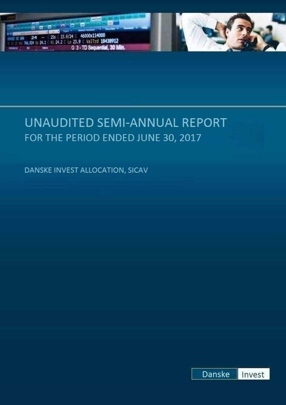



DANSKE INVEST ALLOCATION, SICAV

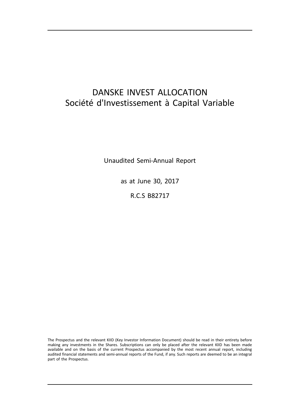# DANSKE INVEST ALLOCATION Société d'Investissement à Capital Variable

Unaudited Semi-Annual Report

as at June 30, 2017

R.C.S B82717

The Prospectus and the relevant KIID (Key Investor Information Document) should be read in their entirety before making any investments in the Shares. Subscriptions can only be placed after the relevant KIID has been made available and on the basis of the current Prospectus accompanied by the most recent annual report, including audited financial statements and semi-annual reports of the Fund, if any. Such reports are deemed to be an integral part of the Prospectus.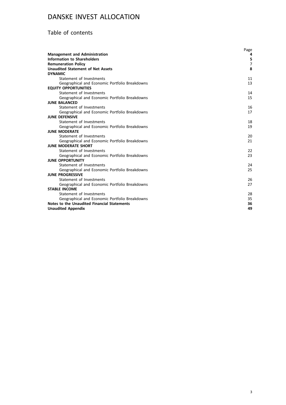## Table of contents

|                                                                               | Page           |
|-------------------------------------------------------------------------------|----------------|
| <b>Management and Administration</b>                                          | 4              |
| <b>Information to Shareholders</b>                                            | 5              |
| <b>Remuneration Policy</b>                                                    | $\overline{7}$ |
| <b>Unaudited Statement of Net Assets</b>                                      | 8              |
| <b>DYNAMIC</b>                                                                |                |
| Statement of Investments                                                      | 11             |
| Geographical and Economic Portfolio Breakdowns<br><b>EQUITY OPPORTUNITIES</b> | 13             |
| Statement of Investments                                                      | 14             |
| Geographical and Economic Portfolio Breakdowns                                | 15             |
| <b>JUNE BALANCED</b>                                                          |                |
| Statement of Investments                                                      | 16             |
| Geographical and Economic Portfolio Breakdowns                                | 17             |
| <b>JUNE DEFENSIVE</b>                                                         |                |
| Statement of Investments                                                      | 18             |
| Geographical and Economic Portfolio Breakdowns                                | 19             |
| <b>JUNE MODERATE</b>                                                          |                |
| Statement of Investments                                                      | 20             |
| Geographical and Economic Portfolio Breakdowns                                | 21             |
| <b>JUNE MODERATE SHORT</b>                                                    |                |
| Statement of Investments                                                      | 22             |
| Geographical and Economic Portfolio Breakdowns                                | 23             |
| <b>JUNE OPPORTUNITY</b>                                                       |                |
| Statement of Investments                                                      | 24             |
| Geographical and Economic Portfolio Breakdowns                                | 25             |
| <b>JUNE PROGRESSIVE</b>                                                       |                |
| Statement of Investments                                                      | 26             |
| Geographical and Economic Portfolio Breakdowns                                | 27             |
| <b>STABLE INCOME</b>                                                          |                |
| Statement of Investments                                                      | 28             |
| Geographical and Economic Portfolio Breakdowns                                | 35             |
| Notes to the Unaudited Financial Statements                                   | 36             |
| <b>Unaudited Appendix</b>                                                     | 49             |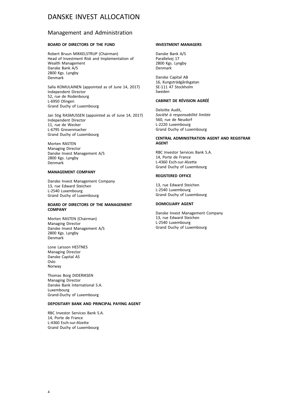### Management and Administration

### **BOARD OF DIRECTORS OF THE FUND**

Robert Bruun MIKKELSTRUP (Chairman) Head of Investment Risk and Implementation of Wealth Management Danske Bank A/S 2800 Kgs. Lyngby Denmark

Salla KOMULAINEN (appointed as of June 14, 2017) Independent Director 52, rue de Rodenbourg L-6950 Olingen Grand Duchy of Luxembourg

Jan Stig RASMUSSEN (appointed as of June 14, 2017) Independent Director 11, rue de Wecker L-6795 Grevenmacher Grand Duchy of Luxembourg

Morten RASTEN Managing Director Danske Invest Management A/S 2800 Kgs. Lyngby Denmark

### **MANAGEMENT COMPANY**

Danske Invest Management Company 13, rue Edward Steichen L-2540 Luxembourg Grand Duchy of Luxembourg

#### **BOARD OF DIRECTORS OF THE MANAGEMENT COMPANY**

Morten RASTEN (Chairman) Managing Director Danske Invest Management A/S 2800 Kgs. Lyngby Denmark

Lone Larsson HESTNES Managing Director Danske Capital AS Oslo Norway

Thomas Borg DIDERIKSEN Managing Director Danske Bank International S.A. Luxembourg Grand-Duchy of Luxembourg

#### **DEPOSITARY BANK AND PRINCIPAL PAYING AGENT**

RBC Investor Services Bank S.A. 14, Porte de France L-4360 Esch-sur-Alzette Grand Duchy of Luxembourg

#### **INVESTMENT MANAGERS**

Danske Bank A/S Parallelvej 17 2800 Kgs. Lyngby Denmark

Danske Capital AB 16, Kungsträdgårdsgatan SE-111 47 Stockholm Sweden

#### **CABINET DE RÉVISION AGRÉÉ**

Deloitte Audit, *Société à responsabilité limitée* 560, rue de Neudorf L-2220 Luxembourg Grand Duchy of Luxembourg

#### **CENTRAL ADMINISTRATION AGENT AND REGISTRAR AGENT**

RBC Investor Services Bank S.A. 14, Porte de France L-4360 Esch-sur-Alzette Grand Duchy of Luxembourg

### **REGISTERED OFFICE**

13, rue Edward Steichen L-2540 Luxembourg Grand Duchy of Luxembourg

#### **DOMICILIARY AGENT**

Danske Invest Management Company 13, rue Edward Steichen L-2540 Luxembourg Grand Duchy of Luxembourg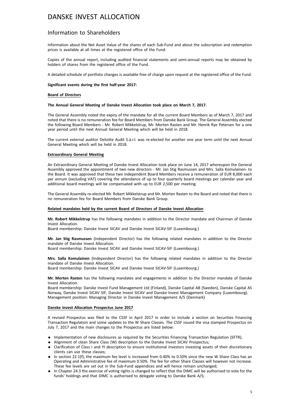### Information to Shareholders

Information about the Net Asset Value of the shares of each Sub-Fund and about the subscription and redemption prices is available at all times at the registered office of the Fund.

Copies of the annual report, including audited financial statements and semi-annual reports may be obtained by holders of shares from the registered office of the Fund.

A detailed schedule of portfolio changes is available free of charge upon request at the registered office of the Fund.

#### **Significant events during the first half-year 2017:**

#### **Board of Directors**

#### **The Annual General Meeting of Danske Invest Allocation took place on March 7, 2017.**

The General Assembly noted the expiry of the mandate for all the current Board Members as of March 7, 2017 and noted that there is no remuneration fee for Board Members from Danske Bank Group. The General Assembly elected the following Board Members - Mr. Robert Mikkelstrup, Mr. Morten Rasten and Mr. Henrik Rye Petersen for a one year period until the next Annual General Meeting which will be held in 2018.

The current external auditor Deloitte Audit S.à.r.l. was re-elected for another one year term until the next Annual General Meeting which will be held in 2018.

#### **Extraordinary General Meeting**

An Extraordinary General Meeting of Danske Invest Allocation took place on June 14, 2017 whereupon the General Assembly approved the appointment of two new directors - Mr. Jan Stig Rasmussen and Mrs. Salla Komulainen- to the Board. It was approved that these two independent Board Members receive a remuneration of EUR 8,000 each per annum (excluding VAT) covering the attendance of up to four quarterly board meetings per calendar year and additional board meetings will be compensated with up to EUR 2,500 per meeting.

The General Assembly re-elected Mr. Robert Mikkelstrup and Mr. Morten Rasten to the Board and noted that there is no remuneration fee for Board Members from Danske Bank Group.

#### **Related mandates held by the current Board of Directors of Danske Invest Allocation**

**Mr. Robert Mikkelstrup** has the following mandates in addition to the Director mandate and Chairman of Danske Invest Allocation.

Board membership: Danske Invest SICAV and Danske Invest SICAV-SIF (Luxembourg.)

**Mr. Jan Stig Rasmussen** (Independent Director) has the following related mandates in addition to the Director mandate of Danske Invest Allocation.

Board membership: Danske Invest SICAV and Danske Invest SICAV-SIF (Luxembourg.)

**Mrs. Salla Komulainen** (Independent Director) has the following related mandates in addition to the Director mandate of Danske Invest Allocation.

Board membership: Danske Invest SICAV and Danske Invest SICAV-SIF (Luxembourg.)

**Mr. Morten Rasten** has the following mandates and engagements in addition to the Director mandate of Danske Invest Allocation.

Board membership: Danske Invest Fund Management Ltd (Finland), Danske Capital AB (Sweden), Danske Capital AS Norway, Danske Invest SICAV SIF, Danske Invest SICAV and Danske Invest Management Company (Luxembourg). Management position: Managing Director in Danske Invest Management A/S (Denmark)

#### **Danske Invest Allocation Prospectus June 2017**

A revised Prospectus was filed to the CSSF in April 2017 in order to include a section on Securities Financing Transaction Regulation and some updates to the W Share Classes. The CSSF issued the visa stamped Prospectus on July 7, 2017 and the main changes to the Prospectus are listed below:

- . Implementation of new disclosures as required by the Securities Financing Transaction Regulation (SFTR);
- . Alignment of clean Share Class (W) description to the Danske Invest SICAV Prospectus;
- . Clarification of Class I and YI description to ensure institutional investors investing assets of their discretionary clients can use these classes;
- . In section 22.1(f), the maximum fee level is increased from 0.40% to 0.50% since the new W Share Class has an Operating and Administrative fee of maximum 0.50%. The fee for other Share Classes will however not increase. These fee levels are set out in the Sub-Fund appendices and will hence remain unchanged;
- . In Chapter 24.3 the exercise of voting rights is changed to reflect that the DIMC will be authorised to vote for the funds' holdings and that DIMC is authorised to delegate voting to Danske Bank A/S;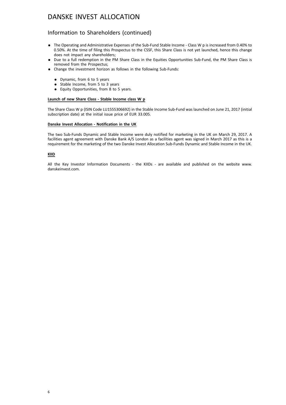### Information to Shareholders (continued)

- . The Operating and Administrative Expenses of the Sub-Fund Stable Income Class W p is increased from 0.40% to 0.50%. At the time of filing this Prospectus to the CSSF, this Share Class is not yet launched, hence this change does not impact any shareholders;
- . Due to a full redemption in the PM Share Class in the Equities Opportunities Sub-Fund, the PM Share Class is removed from the Prospectus;
- . Change the investment horizon as follows in the following Sub-Funds:
	- . Dynamic, from 6 to 5 years
	- . Stable Income, from 5 to 3 years
	- . Equity Opportunities, from 8 to 5 years.

### **Launch of new Share Class - Stable Income class W p**

The Share Class W p (ISIN Code LU1555306692) in the Stable Income Sub-Fund was launched on June 21, 2017 (initial subscription date) at the initial issue price of EUR 33.005.

#### **Danske Invest Allocation - Notification in the UK**

The two Sub-Funds Dynamic and Stable Income were duly notified for marketing in the UK on March 29, 2017. A facilities agent agreement with Danske Bank A/S London as a facilities agent was signed in March 2017 as this is a requirement for the marketing of the two Danske Invest Allocation Sub-Funds Dynamic and Stable Income in the UK.

#### **KIID**

All the Key Investor Information Documents - the KIIDs - are available and published on the website www. danskeinvest.com.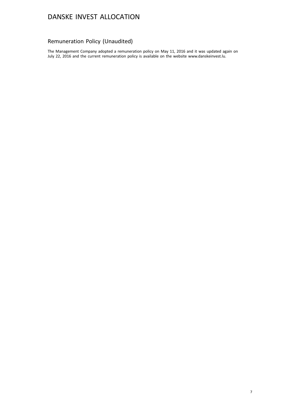## Remuneration Policy (Unaudited)

The Management Company adopted a remuneration policy on May 11, 2016 and it was updated again on July 22, 2016 and the current remuneration policy is available on the website www.danskeinvest.lu.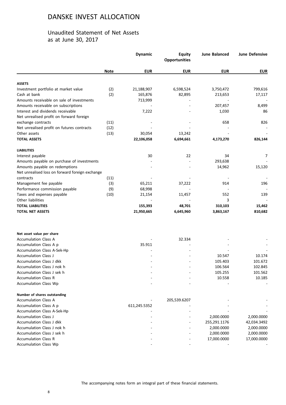### Unaudited Statement of Net Assets as at June 30, 2017

|                                                 |             | <b>Dynamic</b> | <b>Equity</b><br><b>Opportunities</b> | <b>June Balanced</b> | June Defensive |
|-------------------------------------------------|-------------|----------------|---------------------------------------|----------------------|----------------|
|                                                 | <b>Note</b> | <b>EUR</b>     | <b>EUR</b>                            | <b>EUR</b>           | <b>EUR</b>     |
| <b>ASSETS</b>                                   |             |                |                                       |                      |                |
| Investment portfolio at market value            | (2)         | 21,188,907     | 6,598,524                             | 3,750,472            | 799,616        |
| Cash at bank                                    | (2)         | 165,876        | 82,895                                | 213,653              | 17,117         |
| Amounts receivable on sale of investments       |             | 713,999        |                                       |                      |                |
| Amounts receivable on subscriptions             |             |                |                                       | 207,457              | 8,499          |
| Interest and dividends receivable               |             | 7,222          |                                       | 1,030                | 86             |
| Net unrealised profit on forward foreign        |             |                |                                       |                      |                |
| exchange contracts                              | (11)        |                |                                       | 658                  | 826            |
| Net unrealised profit on futures contracts      | (12)        |                |                                       |                      |                |
| Other assets                                    | (13)        | 30,054         | 13,242                                |                      |                |
| <b>TOTAL ASSETS</b>                             |             | 22,106,058     | 6,694,661                             | 4,173,270            | 826,144        |
| <b>LIABILITIES</b>                              |             |                |                                       |                      |                |
| Interest payable                                |             | 30             | 22                                    | 34                   | 7              |
| Amounts payable on purchase of investments      |             |                |                                       | 293,638              |                |
| Amounts payable on redemptions                  |             |                |                                       | 14,962               | 15,120         |
| Net unrealised loss on forward foreign exchange |             |                |                                       |                      |                |
| contracts                                       | (11)        |                |                                       |                      |                |
| Management fee payable                          | (3)         | 65,211         | 37,222                                | 914                  | 196            |
| Performance commission payable                  | (9)         | 68,998         |                                       |                      |                |
| Taxes and expenses payable                      | (10)        | 21,154         | 11,457                                | 552                  | 139            |
| Other liabilities                               |             |                |                                       | 3                    |                |
| <b>TOTAL LIABILITIES</b>                        |             | 155,393        | 48,701                                | 310,103              | 15,462         |
| <b>TOTAL NET ASSETS</b>                         |             | 21,950,665     | 6,645,960                             | 3,863,167            | 810,682        |
|                                                 |             |                |                                       |                      |                |
| Net asset value per share                       |             |                |                                       |                      |                |
| <b>Accumulation Class A</b>                     |             |                | 32.334                                |                      |                |
| Accumulation Class A p                          |             | 35.911         |                                       |                      |                |
| Accumulation Class A-Sek-Hp                     |             |                |                                       |                      |                |
| <b>Accumulation Class J</b>                     |             |                |                                       | 10.547               | 10.174         |
| Accumulation Class J dkk                        |             |                |                                       | 105.403              | 101.672        |
| Accumulation Class J nok h                      |             |                |                                       | 106.564              | 102.845        |
| Accumulation Class J sek h                      |             |                |                                       | 105.255              | 101.562        |
| <b>Accumulation Class R</b>                     |             |                |                                       | 10.558               | 10.185         |
| <b>Accumulation Class Wp</b>                    |             |                |                                       |                      |                |
| Number of shares outstanding                    |             |                |                                       |                      |                |
| <b>Accumulation Class A</b>                     |             |                | 205,539.6207                          |                      |                |
| Accumulation Class A p                          |             | 611,245.5352   |                                       |                      |                |
| Accumulation Class A-Sek-Hp                     |             |                |                                       |                      |                |
| <b>Accumulation Class J</b>                     |             |                |                                       | 2,000.0000           | 2,000.0000     |
| Accumulation Class J dkk                        |             |                |                                       | 255,291.1176         | 42,034.3492    |
| Accumulation Class J nok h                      |             |                |                                       | 2,000.0000           | 2,000.0000     |
| Accumulation Class J sek h                      |             |                |                                       | 2,000.0000           | 2,000.0000     |
| <b>Accumulation Class R</b>                     |             |                |                                       | 17,000.0000          | 17,000.0000    |
| Accumulation Class Wp                           |             |                |                                       |                      |                |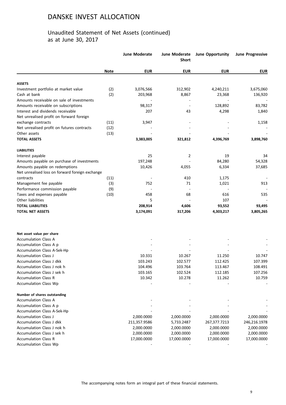### Unaudited Statement of Net Assets (continued) as at June 30, 2017

|                                                 |             | <b>June Moderate</b> | June Moderate<br><b>Short</b> | <b>June Opportunity</b> | <b>June Progressive</b> |
|-------------------------------------------------|-------------|----------------------|-------------------------------|-------------------------|-------------------------|
|                                                 | <b>Note</b> | <b>EUR</b>           | <b>EUR</b>                    | <b>EUR</b>              | <b>EUR</b>              |
| <b>ASSETS</b>                                   |             |                      |                               |                         |                         |
| Investment portfolio at market value            | (2)         | 3,076,566            | 312,902                       | 4,240,211               | 3,675,060               |
| Cash at bank                                    | (2)         | 203,968              | 8,867                         | 23,368                  | 136,920                 |
| Amounts receivable on sale of investments       |             |                      |                               |                         |                         |
| Amounts receivable on subscriptions             |             | 98,317               |                               | 128,892                 | 83,782                  |
| Interest and dividends receivable               |             | 207                  | 43                            | 4,298                   | 1,840                   |
| Net unrealised profit on forward foreign        |             |                      |                               |                         |                         |
| exchange contracts                              | (11)        | 3,947                |                               |                         | 1,158                   |
| Net unrealised profit on futures contracts      | (12)        |                      |                               |                         |                         |
| Other assets                                    | (13)        |                      |                               |                         |                         |
| <b>TOTAL ASSETS</b>                             |             | 3,383,005            | 321,812                       | 4,396,769               | 3,898,760               |
| <b>LIABILITIES</b>                              |             |                      |                               |                         |                         |
| Interest payable                                |             | 25                   | 2                             | 19                      | 34                      |
| Amounts payable on purchase of investments      |             | 197,248              |                               | 84,280                  | 54,328                  |
| Amounts payable on redemptions                  |             | 10,426               | 4,055                         | 6,334                   | 37,685                  |
| Net unrealised loss on forward foreign exchange |             |                      |                               |                         |                         |
| contracts                                       | (11)        |                      | 410                           | 1,175                   |                         |
| Management fee payable                          | (3)         | 752                  | 71                            | 1,021                   | 913                     |
| Performance commission payable                  | (9)         |                      |                               |                         |                         |
| Taxes and expenses payable                      | (10)        | 458                  | 68                            | 616                     | 535                     |
| Other liabilities                               |             | 5                    |                               | 107                     |                         |
| <b>TOTAL LIABILITIES</b>                        |             | 208,914              | 4,606                         | 93,552                  | 93,495                  |
| <b>TOTAL NET ASSETS</b>                         |             | 3,174,091            | 317,206                       | 4,303,217               | 3,805,265               |
|                                                 |             |                      |                               |                         |                         |
| Net asset value per share                       |             |                      |                               |                         |                         |
| <b>Accumulation Class A</b>                     |             |                      |                               |                         |                         |
| Accumulation Class A p                          |             |                      |                               |                         |                         |
| Accumulation Class A-Sek-Hp                     |             |                      |                               |                         |                         |
| Accumulation Class J                            |             | 10.331               | 10.267                        | 11.250                  | 10.747                  |
| Accumulation Class J dkk                        |             | 103.243              | 102.577                       | 112.425                 | 107.399                 |
| Accumulation Class J nok h                      |             | 104.496              | 103.764                       | 113.467                 | 108.491                 |
| Accumulation Class J sek h                      |             | 103.165              | 102.524                       | 112.185                 | 107.256                 |
| <b>Accumulation Class R</b>                     |             | 10.342               | 10.278                        | 11.262                  | 10.759                  |
| <b>Accumulation Class Wp</b>                    |             |                      |                               |                         |                         |
| Number of shares outstanding                    |             |                      |                               |                         |                         |
| <b>Accumulation Class A</b>                     |             |                      |                               |                         |                         |
| Accumulation Class A p                          |             |                      |                               |                         |                         |
| Accumulation Class A-Sek-Hp                     |             |                      |                               |                         |                         |
| <b>Accumulation Class J</b>                     |             | 2,000.0000           | 2,000.0000                    | 2,000.0000              | 2,000.0000              |
| <b>Accumulation Class J dkk</b>                 |             | 211,357.9586         | 5,733.2487                    | 267,377.7213            | 246,216.1978            |
| Accumulation Class J nok h                      |             | 2,000.0000           | 2,000.0000                    | 2,000.0000              | 2,000.0000              |
| Accumulation Class J sek h                      |             | 2,000.0000           | 2,000.0000                    | 2,000.0000              | 2,000.0000              |
| <b>Accumulation Class R</b>                     |             | 17,000.0000          | 17,000.0000                   | 17,000.0000             | 17,000.0000             |
| Accumulation Class Wp                           |             |                      |                               |                         |                         |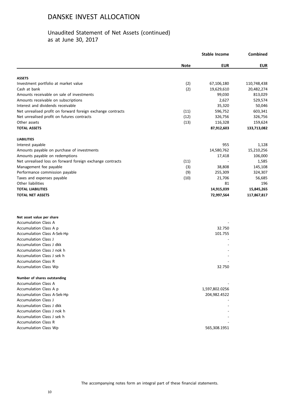### Unaudited Statement of Net Assets (continued) as at June 30, 2017

|                                                             |             | <b>Stable Income</b> | Combined    |
|-------------------------------------------------------------|-------------|----------------------|-------------|
|                                                             | <b>Note</b> | <b>EUR</b>           | <b>EUR</b>  |
| <b>ASSETS</b>                                               |             |                      |             |
| Investment portfolio at market value                        | (2)         | 67,106,180           | 110,748,438 |
| Cash at bank                                                | (2)         | 19,629,610           | 20,482,274  |
| Amounts receivable on sale of investments                   |             | 99,030               | 813,029     |
| Amounts receivable on subscriptions                         |             | 2,627                | 529,574     |
| Interest and dividends receivable                           |             | 35,320               | 50,046      |
| Net unrealised profit on forward foreign exchange contracts | (11)        | 596,752              | 603,341     |
| Net unrealised profit on futures contracts                  | (12)        | 326,756              | 326,756     |
| Other assets                                                | (13)        | 116,328              | 159,624     |
| <b>TOTAL ASSETS</b>                                         |             | 87,912,603           | 133,713,082 |
| <b>LIABILITIES</b>                                          |             |                      |             |
| Interest payable                                            |             | 955                  | 1,128       |
| Amounts payable on purchase of investments                  |             | 14,580,762           | 15,210,256  |
| Amounts payable on redemptions                              |             | 17,418               | 106,000     |
| Net unrealised loss on forward foreign exchange contracts   | (11)        |                      | 1,585       |
| Management fee payable                                      | (3)         | 38,808               | 145,108     |
| Performance commission payable                              | (9)         | 255,309              | 324,307     |
| Taxes and expenses payable                                  | (10)        | 21,706               | 56,685      |
| Other liabilities                                           |             | 81                   | 196         |
| <b>TOTAL LIABILITIES</b>                                    |             | 14,915,039           | 15,845,265  |
| <b>TOTAL NET ASSETS</b>                                     |             | 72,997,564           | 117,867,817 |
|                                                             |             |                      |             |

| Net asset value per share    |                |
|------------------------------|----------------|
| <b>Accumulation Class A</b>  |                |
| Accumulation Class A p       | 32.750         |
| Accumulation Class A-Sek-Hp  | 101.755        |
| <b>Accumulation Class J</b>  |                |
| Accumulation Class J dkk     |                |
| Accumulation Class J nok h   |                |
| Accumulation Class J sek h   |                |
| <b>Accumulation Class R</b>  |                |
| Accumulation Class Wp        | 32.750         |
|                              |                |
| Number of shares outstanding |                |
| <b>Accumulation Class A</b>  |                |
| Accumulation Class A p       | 1,597,802.0256 |
| Accumulation Class A-Sek-Hp  | 204,982.4522   |
| <b>Accumulation Class J</b>  |                |
| Accumulation Class J dkk     |                |
| Accumulation Class J nok h   |                |
| Accumulation Class J sek h   |                |
| <b>Accumulation Class R</b>  |                |
| Accumulation Class Wp        | 565,308.1951   |
|                              |                |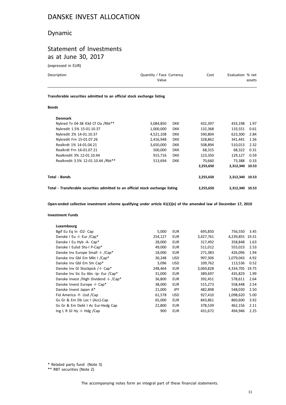## Dynamic

## Statement of Investments as at June 30, 2017

(expressed in EUR)

| Description                                                            | Quantity / Face Currency<br>Value | Cost | Evaluation % net<br>assets |
|------------------------------------------------------------------------|-----------------------------------|------|----------------------------|
| Transferable securities admitted to an official stock exchange listing |                                   |      |                            |

#### **Bonds**

| <b>Denmark</b>                                                                 |           |            |                 |                 |      |
|--------------------------------------------------------------------------------|-----------|------------|-----------------|-----------------|------|
| Nykred Tv 04-38 43d Cf Oa /Rbt**                                               | 3,084,850 | <b>DKK</b> | 432,397         | 433.198         | 1.97 |
| Nykredit 1.5% 15-01.10.37                                                      | 1,000,000 | <b>DKK</b> | 132,368         | 133,551         | 0.61 |
| Nykredit 2% 14-01.10.37                                                        | 4,521,108 | <b>DKK</b> | 590,804         | 623,300         | 2.84 |
| Nykredit Frn 15-01.07.26                                                       | 2,416,948 | <b>DKK</b> | 328,862         | 341.441         | 1.56 |
| Realkrdt 1% 14-01.04.21                                                        | 3,650,000 | <b>DKK</b> | 508,894         | 510,013         | 2.32 |
| Realkrdt Frn 16-01.07.21                                                       | 500.000   | <b>DKK</b> | 68,315          | 68.322          | 0.31 |
| Realkredit 3% 12-01.10.44                                                      | 915,716   | <b>DKK</b> | 123,350         | 129.127         | 0.59 |
| Realkredit 3.5% 12-01.10.44 /Rbt**                                             | 513.694   | <b>DKK</b> | 70.660          | 73.388          | 0.33 |
|                                                                                |           |            | 2,255,650       | 2,312,340 10.53 |      |
| Total - Bonds                                                                  |           |            | 2,255,650       | 2,312,340 10.53 |      |
| Total - Transferable securities admitted to an official stock exchange listing |           | 2,255,650  | 2,312,340 10.53 |                 |      |

**Open-ended collective investment scheme qualifying under article 41(1)(e) of the amended law of December 17, 2010**

#### **Investment Funds**

| Luxembourg                                |         |            |           |           |       |
|-------------------------------------------|---------|------------|-----------|-----------|-------|
| Bgif Eu Eq In -D2- Cap                    | 5,000   | <b>EUR</b> | 695,850   | 756,550   | 3.45  |
| Danske I Eu -I- Eur /Cap*                 | 254.127 | <b>EUR</b> | 3,427,761 | 4.239.855 | 19.31 |
| Danske I Eu Hyb -A- Cap*                  | 28,000  | EUR        | 317,492   | 358,848   | 1.63  |
| Danske I Eulsd Shs-I P-Cap*               | 49,000  | <b>EUR</b> | 511,012   | 555,023   | 2.53  |
| Danske Inv Europe Small -I- /Cap*         | 18,000  | <b>EUR</b> | 271,383   | 426.096   | 1.94  |
| Danske Inv Gbl Em Mkt I / Cap*            | 30,248  | <b>USD</b> | 997,306   | 1,079,043 | 4.92  |
| Danske Inv Gbl Em Sm Cap*                 | 3,096   | <b>USD</b> | 109,762   | 113,536   | 0.52  |
| Danske Inv Gl Stockpick /-I- Cap*         | 248,464 | <b>EUR</b> | 3,069,828 | 4,334,705 | 19.75 |
| Danske Inv Sic Eu Abs -Ip- Eur /Cap*      | 31,000  | <b>EUR</b> | 389,697   | 435,829   | 1.99  |
| Danske Invest / High Dividend - I- / Cap* | 36,800  | EUR        | 392,451   | 578,611   | 2.64  |
| Danske Invest Europe -I- Cap*             | 38,000  | <b>EUR</b> | 515,273   | 558,448   | 2.54  |
| Danske Invest Japan A*                    | 21,000  | <b>JPY</b> | 482,898   | 548.030   | 2.50  |
| Fid America -Y- Usd /Cap                  | 61,578  | <b>USD</b> | 927,410   | 1,098,620 | 5.00  |
| Gs Gr & Em Db Loc I (Acc)-Cap             | 65,000  | EUR        | 843,861   | 860,600   | 3.92  |
| Gs Gr & Em Debt I Ac Eur-Hedg Cap         | 22,800  | <b>EUR</b> | 378,539   | 462,156   | 2.11  |
| Ing L R GI Hy -I- $Hdg$ /Cap              | 900     | <b>EUR</b> | 431,672   | 494,946   | 2.25  |
|                                           |         |            |           |           |       |

\* Related party fund (Note 3)

\*\* RBT securities (Note 2)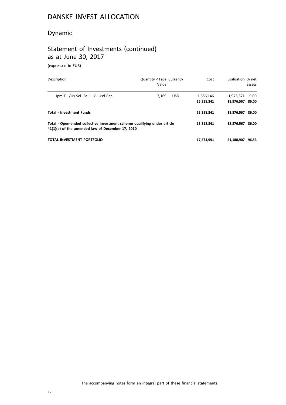## Dynamic

# Statement of Investments (continued) as at June 30, 2017

(expressed in EUR)

| Description                                                                                                                  | Quantity / Face Currency<br>Value | Cost                    | Evaluation % net<br>assets            |
|------------------------------------------------------------------------------------------------------------------------------|-----------------------------------|-------------------------|---------------------------------------|
| Jpm Fl. /Us Sel. Equi. -C- Usd Cap                                                                                           | 7.169<br><b>USD</b>               | 1,556,146<br>15,318,341 | 9.00<br>1,975,671<br>18.876.567 86.00 |
| <b>Total - Investment Funds</b>                                                                                              |                                   | 15,318,341              | 18,876,567 86.00                      |
| Total - Open-ended collective investment scheme qualifying under article<br>41(1)(e) of the amended law of December 17, 2010 |                                   | 15,318,341              | 18.876.567 86.00                      |
| TOTAL INVESTMENT PORTFOLIO                                                                                                   |                                   | 17,573,991              | 21,188,907<br>96.53                   |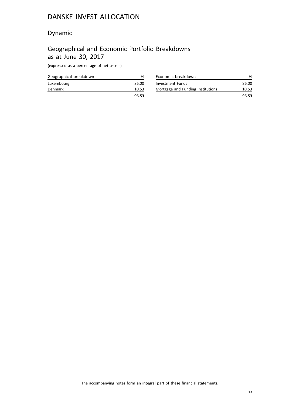## Dynamic

## Geographical and Economic Portfolio Breakdowns as at June 30, 2017

(expressed as a percentage of net assets)

| Geographical breakdown | %     |
|------------------------|-------|
| Luxembourg             | 86.00 |
| <b>Denmark</b>         | 10.53 |
|                        | 96.53 |

| Economic breakdown                |       |
|-----------------------------------|-------|
| <b>Investment Funds</b>           | 86.00 |
| Mortgage and Funding Institutions | 10.53 |
|                                   | 96.53 |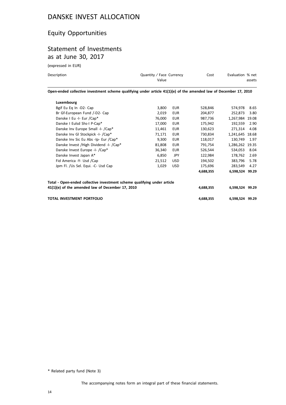## Equity Opportunities

## Statement of Investments as at June 30, 2017

(expressed in EUR)

| Description                                                                                                       | Quantity / Face Currency<br>Value | Cost | Evaluation % net | assets |  |  |  |
|-------------------------------------------------------------------------------------------------------------------|-----------------------------------|------|------------------|--------|--|--|--|
| Open-ended collective investment scheme qualifying under article 41(1)(e) of the amended law of December 17, 2010 |                                   |      |                  |        |  |  |  |

| Luxembourg                                                               |        |            |           |                 |       |
|--------------------------------------------------------------------------|--------|------------|-----------|-----------------|-------|
| Bgif Eu Eq In -D2- Cap                                                   | 3,800  | <b>EUR</b> | 528,846   | 574.978         | 8.65  |
| Br Gf-European Fund /-D2- Cap                                            | 2,019  | <b>EUR</b> | 204,877   | 252,873         | 3.80  |
| Danske I Eu -I- Eur /Cap*                                                | 76,000 | <b>EUR</b> | 987,736   | 1,267,984 19.08 |       |
| Danske I Eulsd Shs-I P-Cap*                                              | 17,000 | <b>EUR</b> | 175,942   | 192,559         | 2.90  |
| Danske Inv Europe Small -I- /Cap*                                        | 11,461 | <b>EUR</b> | 130,623   | 271,314         | 4.08  |
| Danske Inv Gl Stockpick -I- /Cap*                                        | 71,171 | <b>EUR</b> | 730,834   | 1,241,645 18.68 |       |
| Danske Inv Sic Eu Abs -Ip- Eur /Cap*                                     | 9,300  | <b>EUR</b> | 118,017   | 130,749         | 1.97  |
| Danske Invest / High Dividend - I- / Cap*                                | 81,808 | <b>EUR</b> | 791,754   | 1,286,262 19.35 |       |
| Danske Invest Europe -I- /Cap*                                           | 36,340 | <b>EUR</b> | 526,544   | 534,053         | 8.04  |
| Danske Invest Japan A*                                                   | 6,850  | <b>JPY</b> | 122,984   | 178,762         | 2.69  |
| Fid America -Y- Usd /Cap                                                 | 21,512 | <b>USD</b> | 194,502   | 383,796         | 5.78  |
| Jpm Fl. /Us Sel. Equi. -C- Usd Cap                                       | 1.029  | <b>USD</b> | 175,696   | 283,549         | 4.27  |
|                                                                          |        |            | 4,688,355 | 6,598,524       | 99.29 |
| Total - Open-ended collective investment scheme qualifying under article |        |            |           |                 |       |
| 41(1)(e) of the amended law of December 17, 2010                         |        |            | 4,688,355 | 6,598,524 99.29 |       |
| <b>TOTAL INVESTMENT PORTFOLIO</b>                                        |        |            | 4,688,355 | 6,598,524 99.29 |       |

\* Related party fund (Note 3)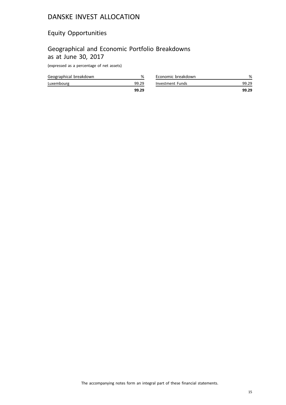## Equity Opportunities

## Geographical and Economic Portfolio Breakdowns as at June 30, 2017

(expressed as a percentage of net assets)

| Geographical breakdown |       |
|------------------------|-------|
| Luxembourg             | 99.29 |
|                        | 99.29 |

|                    | 99.29 |
|--------------------|-------|
| Investment Funds   | 99.29 |
| Economic breakdown |       |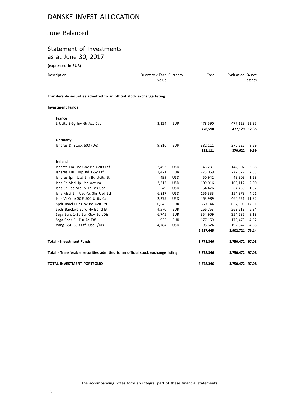### June Balanced

## Statement of Investments as at June 30, 2017

(expressed in EUR)

| Description                                                                    | Quantity / Face Currency<br>Value |            | Cost               | Evaluation % net               | assets       |
|--------------------------------------------------------------------------------|-----------------------------------|------------|--------------------|--------------------------------|--------------|
| Transferable securities admitted to an official stock exchange listing         |                                   |            |                    |                                |              |
| <b>Investment Funds</b>                                                        |                                   |            |                    |                                |              |
| France                                                                         |                                   |            |                    |                                |              |
| L Ucits 3-5y Inv Gr Act Cap                                                    | 3,124                             | <b>EUR</b> | 478,590<br>478,590 | 477,129 12.35<br>477,129 12.35 |              |
| Germany                                                                        |                                   |            |                    |                                |              |
| Ishares Dj Stoxx 600 (De)                                                      | 9,810                             | <b>EUR</b> | 382,111<br>382,111 | 370,622<br>370,622             | 9.59<br>9.59 |
| Ireland                                                                        |                                   |            |                    |                                |              |
| Ishares Em Loc Gov Bd Ucits Etf                                                | 2,453                             | <b>USD</b> | 145,231            | 142,007                        | 3.68         |
| Ishares Eur Corp Bd 1-5y Etf                                                   | 2,471                             | <b>EUR</b> | 273,069            | 272,527                        | 7.05         |
| Ishares Jpm Usd Em Bd Ucits Etf                                                | 499                               | <b>USD</b> | 50,942             | 49,303                         | 1.28         |
| Ishs Cr Msci Jp Usd Accum                                                      | 3,212                             | <b>USD</b> | 109,016            | 108,112                        | 2.80         |
| Ishs Cr Pac /Ac Ex Tr Fds Usd                                                  | 549                               | <b>USD</b> | 64,476             | 64,450                         | 1.67         |
| Ishs Msci Em Usd-Ac Shs Usd Etf                                                | 6,817                             | <b>USD</b> | 156,333            | 154,979                        | 4.01         |
| Ishs Vi Core S&P 500 Ucits Cap                                                 | 2,275                             | <b>USD</b> | 463,989            | 460,521 11.92                  |              |
| Spdr Barcl Eur Gov Bd Ucit Etf                                                 | 10,645                            | <b>EUR</b> | 660,144            | 657,009 17.01                  |              |
| Spdr Barclays Euro Hy Bond Etf                                                 | 4,570                             | <b>EUR</b> | 266,753            | 268,213                        | 6.94         |
| Ssga Barc 1-3y Eur Gov Bd /Dis                                                 | 6,745                             | <b>EUR</b> | 354,909            | 354,585                        | 9.18         |
| Ssga Spdr Eu Eur-Ac Etf                                                        | 935                               | <b>EUR</b> | 177,159            | 178,473                        | 4.62         |
| Vang S&P 500 Ptf -Usd- /Dis                                                    | 4,784                             | <b>USD</b> | 195,624            | 192,542                        | 4.98         |
|                                                                                |                                   |            | 2,917,645          | 2,902,721 75.14                |              |
| <b>Total - Investment Funds</b>                                                |                                   |            | 3,778,346          | 3,750,472 97.08                |              |
| Total - Transferable securities admitted to an official stock exchange listing |                                   |            | 3,778,346          | 3,750,472 97.08                |              |
| TOTAL INVESTMENT PORTFOLIO                                                     |                                   |            | 3,778,346          | 3,750,472 97.08                |              |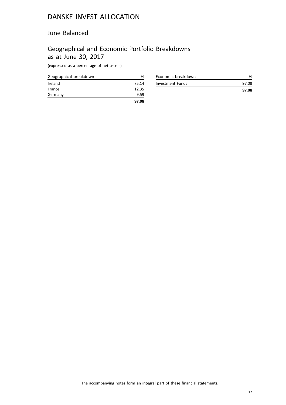### June Balanced

## Geographical and Economic Portfolio Breakdowns as at June 30, 2017

(expressed as a percentage of net assets)

| Geographical breakdown | %     |
|------------------------|-------|
| Ireland                | 75.14 |
| France                 | 12.35 |
| Germany                | 9.59  |
|                        | 97.08 |

| Economic breakdown |       |
|--------------------|-------|
| Investment Funds   | 97.08 |
|                    | 97.08 |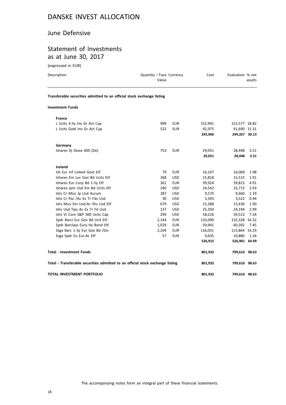### June Defensive

# Statement of Investments as at June 30, 2017

(expressed in EUR)

| Description                                                                    | Quantity / Face Currency<br>Value |            | Cost    | Evaluation % net | assets |
|--------------------------------------------------------------------------------|-----------------------------------|------------|---------|------------------|--------|
| Transferable securities admitted to an official stock exchange listing         |                                   |            |         |                  |        |
| <b>Investment Funds</b>                                                        |                                   |            |         |                  |        |
| France                                                                         |                                   |            |         |                  |        |
| L Ucits 3-5y Inv Gr Act Cap                                                    | 999                               | <b>EUR</b> | 152,991 | 152,577 18.82    |        |
| L Ucits Gobl Inv Gr Act Cap                                                    | 522                               | <b>EUR</b> | 92,975  | 91,690 11.31     |        |
|                                                                                |                                   |            | 245,966 | 244,267 30.13    |        |
| Germany                                                                        |                                   |            |         |                  |        |
| Ishares Dj Stoxx 600 (De)                                                      | 753                               | <b>EUR</b> | 29,051  | 28,448           | 3.51   |
|                                                                                |                                   |            | 29,051  | 28,448           | 3.51   |
| Ireland                                                                        |                                   |            |         |                  |        |
| Ish Eur Inf Linked Govt Etf                                                    | 79                                | EUR        | 16,107  | 16,069           | 1.98   |
| Ishares Em Loc Gov Bd Ucits Etf                                                | 268                               | <b>USD</b> | 15,818  | 15,515           | 1.91   |
| Ishares Eur Corp Bd 1-5y Etf                                                   | 361                               | <b>EUR</b> | 39,924  | 39,815           | 4.91   |
| Ishares Jpm Usd Em Bd Ucits Etf                                                | 240                               | <b>USD</b> | 24,542  | 23,713           | 2.93   |
| Ishs Cr Msci Jp Usd Accum                                                      | 287                               | <b>USD</b> | 9,570   | 9,660            | 1.19   |
| Ishs Cr Pac /Ac Ex Tr Fds Usd                                                  | 30                                | <b>USD</b> | 3,393   | 3,522            | 0.44   |
| Ishs Msci Em Usd-Ac Shs Usd Etf                                                | 679                               | <b>USD</b> | 15,288  | 15,436           | 1.90   |
| Ishs Usd Tips Ac Ex Tr Fd Usd                                                  | 137                               | <b>USD</b> | 25,350  | 24,194           | 2.99   |
| Ishs Vi Core S&P 500 Ucits Cap                                                 | 294                               | <b>USD</b> | 58,226  | 59,513           | 7.34   |
| Spdr Barcl Eur Gov Bd Ucit Etf                                                 | 2,144                             | <b>EUR</b> | 133,090 | 132,328 16.32    |        |
| Spdr Barclays Euro Hy Bond Etf                                                 | 1,029                             | <b>EUR</b> | 59,941  | 60,392           | 7.45   |
| Ssga Barc 1-3y Eur Gov Bd /Dis                                                 | 2,204                             | EUR        | 116,031 | 115,864 14.29    |        |
| Ssga Spdr Eu Eur-Ac Etf                                                        | 57                                | <b>EUR</b> | 9,635   | 10,880           | 1.34   |
|                                                                                |                                   |            | 526,915 | 526,901 64.99    |        |
| <b>Total - Investment Funds</b>                                                |                                   |            | 801,932 | 799,616 98.63    |        |
| Total - Transferable securities admitted to an official stock exchange listing |                                   |            | 801,932 | 799,616 98.63    |        |
| TOTAL INVESTMENT PORTFOLIO                                                     |                                   |            | 801,932 | 799,616 98.63    |        |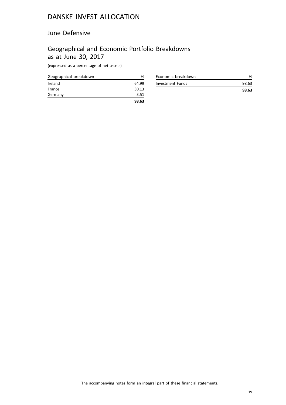### June Defensive

## Geographical and Economic Portfolio Breakdowns as at June 30, 2017

(expressed as a percentage of net assets)

| Geographical breakdown | ℅     |
|------------------------|-------|
| Ireland                | 64.99 |
| France                 | 30.13 |
| Germany                | 3.51  |
|                        | 98.63 |

| Economic breakdown |       |
|--------------------|-------|
| Investment Funds   | 98.63 |
|                    | 98.63 |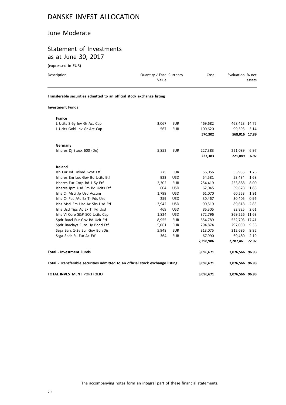### June Moderate

## Statement of Investments as at June 30, 2017

(expressed in EUR)

| Description                                                                    | Quantity / Face Currency<br>Value |            | Cost      | Evaluation % net | assets |
|--------------------------------------------------------------------------------|-----------------------------------|------------|-----------|------------------|--------|
| Transferable securities admitted to an official stock exchange listing         |                                   |            |           |                  |        |
| <b>Investment Funds</b>                                                        |                                   |            |           |                  |        |
| <b>France</b>                                                                  |                                   |            |           |                  |        |
| L Ucits 3-5y Inv Gr Act Cap                                                    | 3,067                             | <b>EUR</b> | 469,682   | 468,423 14.75    |        |
| L Ucits Gobl Inv Gr Act Cap                                                    | 567                               | <b>EUR</b> | 100,620   | 99,593           | 3.14   |
|                                                                                |                                   |            | 570,302   | 568,016 17.89    |        |
| Germany                                                                        |                                   |            |           |                  |        |
| Ishares Dj Stoxx 600 (De)                                                      | 5,852                             | <b>EUR</b> | 227,383   | 221,089          | 6.97   |
|                                                                                |                                   |            | 227,383   | 221,089          | 6.97   |
| Ireland                                                                        |                                   |            |           |                  |        |
| Ish Eur Inf Linked Govt Etf                                                    | 275                               | <b>EUR</b> | 56,056    | 55,935           | 1.76   |
| Ishares Em Loc Gov Bd Ucits Etf                                                | 923                               | <b>USD</b> | 54,581    | 53,434           | 1.68   |
| Ishares Eur Corp Bd 1-5y Etf                                                   | 2,302                             | <b>EUR</b> | 254,419   | 253,888          | 8.00   |
| Ishares Jpm Usd Em Bd Ucits Etf                                                | 604                               | <b>USD</b> | 62,045    | 59,678           | 1.88   |
| Ishs Cr Msci Jp Usd Accum                                                      | 1,799                             | <b>USD</b> | 61,070    | 60,553           | 1.91   |
| Ishs Cr Pac /Ac Ex Tr Fds Usd                                                  | 259                               | <b>USD</b> | 30,467    | 30,405           | 0.96   |
| Ishs Msci Em Usd-Ac Shs Usd Etf                                                | 3,942                             | <b>USD</b> | 90,519    | 89,618           | 2.83   |
| Ishs Usd Tips Ac Ex Tr Fd Usd                                                  | 469                               | <b>USD</b> | 86,305    | 82,825           | 2.61   |
| Ishs Vi Core S&P 500 Ucits Cap                                                 | 1,824                             | <b>USD</b> | 372,796   | 369,226 11.63    |        |
| Spdr Barcl Eur Gov Bd Ucit Etf                                                 | 8,955                             | <b>EUR</b> | 554,789   | 552,703 17.41    |        |
| Spdr Barclays Euro Hy Bond Etf                                                 | 5,061                             | <b>EUR</b> | 294,874   | 297,030          | 9.36   |
| Ssga Barc 1-3y Eur Gov Bd /Dis                                                 | 5,948                             | <b>EUR</b> | 313,075   | 312,686          | 9.85   |
| Ssga Spdr Eu Eur-Ac Etf                                                        | 364                               | <b>EUR</b> | 67,990    | 69,480           | 2.19   |
|                                                                                |                                   |            | 2,298,986 | 2,287,461 72.07  |        |
| <b>Total - Investment Funds</b>                                                |                                   |            | 3,096,671 | 3,076,566 96.93  |        |
| Total - Transferable securities admitted to an official stock exchange listing |                                   |            | 3,096,671 | 3,076,566 96.93  |        |
| TOTAL INVESTMENT PORTFOLIO                                                     |                                   |            | 3,096,671 | 3,076,566 96.93  |        |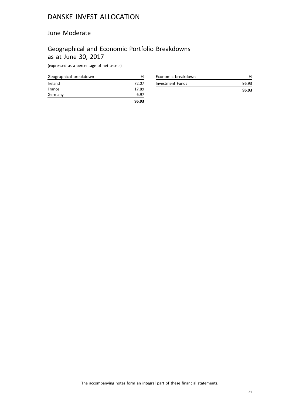### June Moderate

## Geographical and Economic Portfolio Breakdowns as at June 30, 2017

(expressed as a percentage of net assets)

| Geographical breakdown | %     |
|------------------------|-------|
| Ireland                | 72.07 |
| France                 | 17.89 |
| Germany                | 6.97  |
|                        | 96.93 |

| Economic breakdown |       |
|--------------------|-------|
| Investment Funds   | 96.93 |
|                    | 96.93 |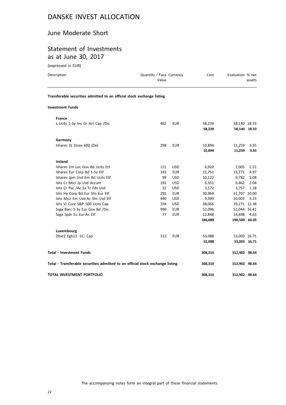### June Moderate Short

## Statement of Investments as at June 30, 2017

(expressed in EUR)

| Description                                                                    | Quantity / Face Currency<br>Value |            | Cost             | Evaluation % net | assets       |
|--------------------------------------------------------------------------------|-----------------------------------|------------|------------------|------------------|--------------|
| Transferable securities admitted to an official stock exchange listing         |                                   |            |                  |                  |              |
| <b>Investment Funds</b>                                                        |                                   |            |                  |                  |              |
| <b>France</b>                                                                  |                                   |            |                  |                  |              |
| L Ucits 1-3y Inv Gr Act Cap / Dis                                              | 462                               | <b>EUR</b> | 58,239<br>58,239 | 58,140 18.33     | 58,140 18.33 |
| Germany                                                                        |                                   |            |                  |                  |              |
| Ishares Dj Stoxx 600 (De)                                                      | 298                               | EUR        | 10,894<br>10,894 | 11,259<br>11,259 | 3.55<br>3.55 |
| Ireland                                                                        |                                   |            |                  |                  |              |
| Ishares Em Loc Gov Bd Ucits Etf                                                | 121                               | <b>USD</b> | 6,920            | 7,005            | 2.21         |
| Ishares Eur Corp Bd 1-5y Etf                                                   | 143                               | <b>EUR</b> | 15,751           | 15,771           | 4.97         |
| Ishares Jpm Usd Em Bd Ucits Etf                                                | 99                                | <b>USD</b> | 10,122           | 9,782            | 3.08         |
| Ishs Cr Msci Jp Usd Accum                                                      | 192                               | <b>USD</b> | 6,351            | 6,462            | 2.04         |
| Ishs Cr Pac /Ac Ex Tr Fds Usd                                                  | 32                                | <b>USD</b> | 3,572            | 3,757            | 1.18         |
| Ishs Hy Corp Bd Eur Shs Eur Etf                                                | 295                               | <b>EUR</b> | 30,964           | 31,707 10.00     |              |
| Ishs Msci Em Usd-Ac Shs Usd Etf                                                | 440                               | <b>USD</b> | 9,399            | 10,003           | 3.15         |
| Ishs Vi Core S&P 500 Ucits Cap                                                 | 194                               | <b>USD</b> | 38,066           | 39,271 12.38     |              |
| Ssga Barc 1-3y Eur Gov Bd /Dis                                                 | 990                               | <b>EUR</b> | 52,096           | 52,044 16.41     |              |
| Ssga Spdr Eu Eur-Ac Etf                                                        | 77                                | EUR        | 12,848           | 14,698           | 4.63         |
|                                                                                |                                   |            | 186,089          | 190,500 60.05    |              |
| Luxembourg                                                                     |                                   |            |                  |                  |              |
| Dbxt2 Egb13 -1C- Cap                                                           | 313                               | <b>EUR</b> | 53,088<br>53,088 | 53,003 16.71     | 53,003 16.71 |
| <b>Total - Investment Funds</b>                                                |                                   |            | 308,310          | 312,902 98.64    |              |
| Total - Transferable securities admitted to an official stock exchange listing |                                   |            | 308,310          | 312,902 98.64    |              |
| <b>TOTAL INVESTMENT PORTFOLIO</b>                                              |                                   |            | 308,310          | 312,902 98.64    |              |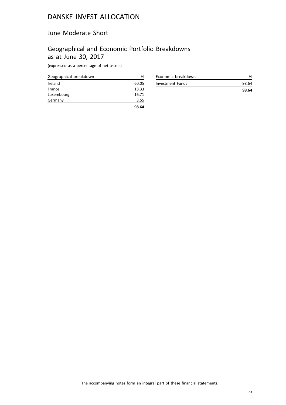### June Moderate Short

## Geographical and Economic Portfolio Breakdowns as at June 30, 2017

(expressed as a percentage of net assets)

| Geographical breakdown | ℅     |
|------------------------|-------|
| Ireland                | 60.05 |
| France                 | 18.33 |
| Luxembourg             | 16.71 |
| Germany                | 3.55  |
|                        | 98.64 |

|                    | 98.64 |
|--------------------|-------|
| Investment Funds   | 98.64 |
| Economic breakdown |       |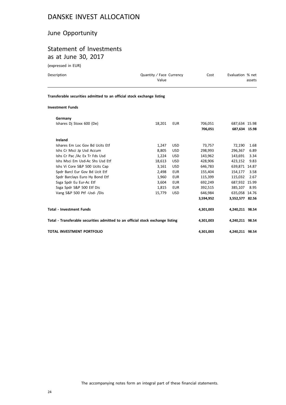### June Opportunity

## Statement of Investments as at June 30, 2017

(expressed in EUR)

| Description                                                                    | Quantity / Face Currency<br>Value |            | Cost      | Evaluation % net | assets |
|--------------------------------------------------------------------------------|-----------------------------------|------------|-----------|------------------|--------|
| Transferable securities admitted to an official stock exchange listing         |                                   |            |           |                  |        |
| <b>Investment Funds</b>                                                        |                                   |            |           |                  |        |
| Germany                                                                        |                                   |            |           |                  |        |
| Ishares Dj Stoxx 600 (De)                                                      | 18,201                            | <b>EUR</b> | 706,051   | 687,634 15.98    |        |
|                                                                                |                                   |            | 706,051   | 687,634 15.98    |        |
| Ireland                                                                        |                                   |            |           |                  |        |
| Ishares Em Loc Gov Bd Ucits Etf                                                | 1,247                             | <b>USD</b> | 73,757    | 72,190           | 1.68   |
| Ishs Cr Msci Jp Usd Accum                                                      | 8,805                             | <b>USD</b> | 298,993   | 296,367          | 6.89   |
| Ishs Cr Pac /Ac Ex Tr Fds Usd                                                  | 1,224                             | <b>USD</b> | 143,962   | 143,691          | 3.34   |
| Ishs Msci Em Usd-Ac Shs Usd Etf                                                | 18,613                            | <b>USD</b> | 428.906   | 423,152          | 9.83   |
| Ishs Vi Core S&P 500 Ucits Cap                                                 | 3,161                             | <b>USD</b> | 646,783   | 639,871 14.87    |        |
| Spdr Barcl Eur Gov Bd Ucit Etf                                                 | 2,498                             | <b>EUR</b> | 155,404   | 154,177          | 3.58   |
| Spdr Barclays Euro Hy Bond Etf                                                 | 1,960                             | <b>EUR</b> | 115,399   | 115,032          | 2.67   |
| Ssga Spdr Eu Eur-Ac Etf                                                        | 3,604                             | <b>EUR</b> | 692,249   | 687,932 15.99    |        |
| Ssga Spdr S&P 500 Etf Dis                                                      | 1,815                             | <b>EUR</b> | 392,515   | 385,107          | 8.95   |
| Vang S&P 500 Ptf -Usd- /Dis                                                    | 15,779                            | <b>USD</b> | 646,984   | 635,058 14.76    |        |
|                                                                                |                                   |            | 3,594,952 | 3,552,577 82.56  |        |
| <b>Total - Investment Funds</b>                                                |                                   |            | 4,301,003 | 4,240,211 98.54  |        |
| Total - Transferable securities admitted to an official stock exchange listing |                                   |            | 4,301,003 | 4,240,211 98.54  |        |

**TOTAL INVESTMENT PORTFOLIO 4,301,003 4,240,211 98.54**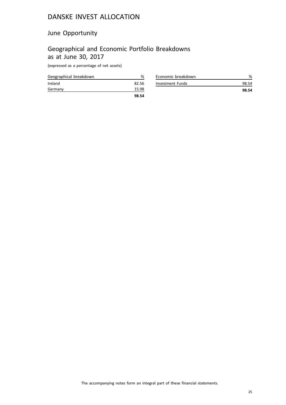## June Opportunity

## Geographical and Economic Portfolio Breakdowns as at June 30, 2017

(expressed as a percentage of net assets)

| Geographical breakdown | %     |
|------------------------|-------|
| Ireland                | 82.56 |
| Germany                | 15.98 |
|                        | 98.54 |

|                    | 98.54 |
|--------------------|-------|
| Investment Funds   | 98.54 |
| Economic breakdown |       |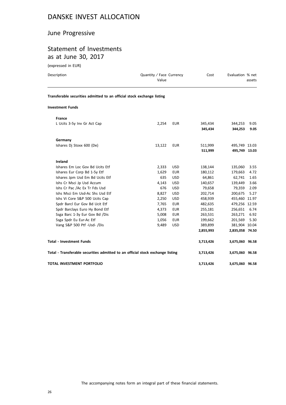## June Progressive

## Statement of Investments as at June 30, 2017

(expressed in EUR)

| Description                                                                    | Quantity / Face Currency<br>Value |            | Cost               | Evaluation % net               | assets       |
|--------------------------------------------------------------------------------|-----------------------------------|------------|--------------------|--------------------------------|--------------|
| Transferable securities admitted to an official stock exchange listing         |                                   |            |                    |                                |              |
| <b>Investment Funds</b>                                                        |                                   |            |                    |                                |              |
| France                                                                         |                                   |            |                    |                                |              |
| L Ucits 3-5y Inv Gr Act Cap                                                    | 2,254                             | <b>EUR</b> | 345,434<br>345,434 | 344,253<br>344,253             | 9.05<br>9.05 |
| Germany                                                                        |                                   |            |                    |                                |              |
| Ishares Dj Stoxx 600 (De)                                                      | 13,122                            | <b>EUR</b> | 511,999<br>511,999 | 495,749 13.03<br>495,749 13.03 |              |
| Ireland                                                                        |                                   |            |                    |                                |              |
| Ishares Em Loc Gov Bd Ucits Etf                                                | 2,333                             | <b>USD</b> | 138,144            | 135,060                        | 3.55         |
| Ishares Eur Corp Bd 1-5y Etf                                                   | 1,629                             | <b>EUR</b> | 180,112            | 179,663                        | 4.72         |
| Ishares Jpm Usd Em Bd Ucits Etf                                                | 635                               | <b>USD</b> | 64,861             | 62,741                         | 1.65         |
| Ishs Cr Msci Jp Usd Accum                                                      | 4,143                             | <b>USD</b> | 140,657            | 139,449                        | 3.66         |
| Ishs Cr Pac /Ac Ex Tr Fds Usd                                                  | 676                               | <b>USD</b> | 79,658             | 79,359                         | 2.09         |
| Ishs Msci Em Usd-Ac Shs Usd Etf                                                | 8,827                             | <b>USD</b> | 202,714            | 200,675                        | 5.27         |
| Ishs Vi Core S&P 500 Ucits Cap                                                 | 2,250                             | <b>USD</b> | 458,939            | 455,460 11.97                  |              |
| Spdr Barcl Eur Gov Bd Ucit Etf                                                 | 7,765                             | <b>EUR</b> | 482,635            | 479,256 12.59                  |              |
| Spdr Barclays Euro Hy Bond Etf                                                 | 4,373                             | <b>EUR</b> | 255,181            | 256,651                        | 6.74         |
| Ssga Barc 1-3y Eur Gov Bd /Dis                                                 | 5,008                             | <b>EUR</b> | 263,531            | 263,271                        | 6.92         |
| Ssga Spdr Eu Eur-Ac Etf                                                        | 1,056                             | <b>EUR</b> | 199,662            | 201,569                        | 5.30         |
| Vang S&P 500 Ptf -Usd- /Dis                                                    | 9,489                             | <b>USD</b> | 389,899            | 381,904 10.04                  |              |
|                                                                                |                                   |            | 2,855,993          | 2,835,058 74.50                |              |
| <b>Total - Investment Funds</b>                                                |                                   |            | 3,713,426          | 3,675,060 96.58                |              |
| Total - Transferable securities admitted to an official stock exchange listing |                                   |            | 3,713,426          | 3,675,060 96.58                |              |
| TOTAL INVESTMENT PORTFOLIO                                                     |                                   |            | 3,713,426          | 3,675,060 96.58                |              |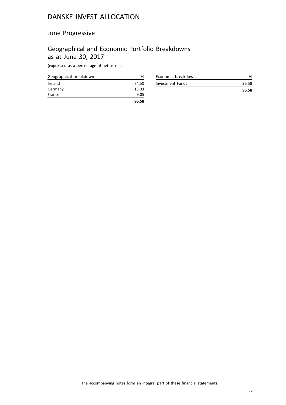## June Progressive

## Geographical and Economic Portfolio Breakdowns as at June 30, 2017

(expressed as a percentage of net assets)

| Geographical breakdown | %     |
|------------------------|-------|
| Ireland                | 74.50 |
| Germany                | 13.03 |
| France                 | 9.05  |
|                        | 96.58 |

| Economic breakdown |       |
|--------------------|-------|
| Investment Funds   | 96.58 |
|                    | 96.58 |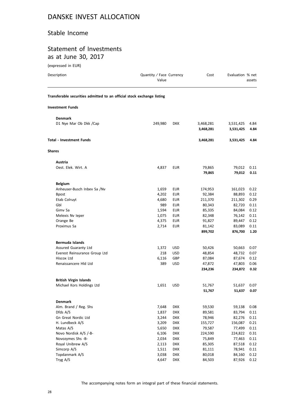### Stable Income

## Statement of Investments as at June 30, 2017

(expressed in EUR)

| Transferable securities admitted to an official stock exchange listing<br><b>Investment Funds</b><br><b>Denmark</b><br>D1 Nye Mar Ob Dkk /Cap<br>249,980<br><b>DKK</b><br>3,468,281<br>3,531,425<br>4.84<br>3,468,281<br>3,531,425<br>4.84<br><b>Total - Investment Funds</b><br>3,468,281<br>3,531,425<br>4.84<br><b>Shares</b><br>Austria<br>Oest. Elek. Wirt. A<br>4,837<br><b>EUR</b><br>79,865<br>79,012<br>0.11<br>79,865<br>79,012<br>0.11<br><b>Belgium</b><br>Anheuser-Busch Inbev Sa /Nv<br>1,659<br><b>EUR</b><br>174,953<br>161,023<br>0.22<br>4,202<br><b>EUR</b><br>92,384<br>88,893<br><b>Bpost</b><br>0.12<br><b>EUR</b><br>211,370<br>0.29<br>Etab Colruyt<br>4,680<br>211,302<br>Gbl<br>989<br>82,720<br><b>EUR</b><br>80,343<br>0.11<br>Gimv Sa<br>1,594<br>EUR<br>85,335<br>84,084<br>0.12<br>1,075<br>EUR<br>82,348<br>76,142<br>0.11<br>Melexis Nv leper<br>4,375<br>Orange Be<br><b>EUR</b><br>91,827<br>89,447<br>0.12<br>83,089<br>Proximus Sa<br>2,714<br><b>EUR</b><br>81,142<br>0.11<br>899,702<br>876,700<br>1.20<br>Bermuda Islands<br>Assured Guaranty Ltd<br>1,372<br>USD<br>50,426<br>50,663<br>0.07<br>218<br>Everest Reinsurance Group Ltd<br><b>USD</b><br>48,854<br>48,732<br>0.07<br>Hiscox Ltd<br>6,116<br>GBP<br>87,084<br>87,674<br>0.12<br>Renaissancere Hld Ltd<br>389<br>47,803<br><b>USD</b><br>47,872<br>0.06<br>234,872<br>0.32<br>234,236<br><b>British Virgin Islands</b><br>Michael Kors Holdings Ltd<br>1,651<br>USD<br>51,767<br>51,637<br>0.07<br>51,767<br>51,637<br><b>Denmark</b><br>Alm. Brand / Reg. Shs<br>7,648<br><b>DKK</b><br>59,530<br>59,138<br>0.08<br>Dfds A/S<br>1,837<br><b>DKK</b><br>89,581<br>83,794<br>0.11<br>Gn Great Nordic Ltd<br><b>DKK</b><br>82,276<br>3,244<br>78,946<br>0.11<br>H. Lundbeck A/S<br>3,209<br><b>DKK</b><br>155,727<br>156,087<br>0.21<br>Matas A/S<br>5,650<br><b>DKK</b><br>79,587<br>77,499<br>0.11<br>Novo Nordisk A/S /-B-<br>6,106<br><b>DKK</b><br>224,590<br>0.31<br>224,822<br>Novozymes Shs -B-<br>2,034<br><b>DKK</b><br>75,849<br>77,463<br>0.11<br>Royal Unibrew A/S<br><b>DKK</b><br>85,305<br>87,518<br>0.12<br>2,113<br>Simcorp A/S<br><b>DKK</b><br>1,511<br>81,111<br>78,941<br>0.11<br>Topdanmark A/S<br>3,038<br><b>DKK</b><br>80,018<br>84,160<br>0.12<br>Tryg A/S<br>4,647<br><b>DKK</b><br>84,503<br>87,926 | Description | Quantity / Face Currency<br>Value | Cost | Evaluation % net | assets |
|------------------------------------------------------------------------------------------------------------------------------------------------------------------------------------------------------------------------------------------------------------------------------------------------------------------------------------------------------------------------------------------------------------------------------------------------------------------------------------------------------------------------------------------------------------------------------------------------------------------------------------------------------------------------------------------------------------------------------------------------------------------------------------------------------------------------------------------------------------------------------------------------------------------------------------------------------------------------------------------------------------------------------------------------------------------------------------------------------------------------------------------------------------------------------------------------------------------------------------------------------------------------------------------------------------------------------------------------------------------------------------------------------------------------------------------------------------------------------------------------------------------------------------------------------------------------------------------------------------------------------------------------------------------------------------------------------------------------------------------------------------------------------------------------------------------------------------------------------------------------------------------------------------------------------------------------------------------------------------------------------------------------------------------------------------------------------------------------------------------------------------------------------------------------------------------------------------------------------------------------------------------------------------------------------------------------------------|-------------|-----------------------------------|------|------------------|--------|
|                                                                                                                                                                                                                                                                                                                                                                                                                                                                                                                                                                                                                                                                                                                                                                                                                                                                                                                                                                                                                                                                                                                                                                                                                                                                                                                                                                                                                                                                                                                                                                                                                                                                                                                                                                                                                                                                                                                                                                                                                                                                                                                                                                                                                                                                                                                                    |             |                                   |      |                  |        |
|                                                                                                                                                                                                                                                                                                                                                                                                                                                                                                                                                                                                                                                                                                                                                                                                                                                                                                                                                                                                                                                                                                                                                                                                                                                                                                                                                                                                                                                                                                                                                                                                                                                                                                                                                                                                                                                                                                                                                                                                                                                                                                                                                                                                                                                                                                                                    |             |                                   |      |                  |        |
|                                                                                                                                                                                                                                                                                                                                                                                                                                                                                                                                                                                                                                                                                                                                                                                                                                                                                                                                                                                                                                                                                                                                                                                                                                                                                                                                                                                                                                                                                                                                                                                                                                                                                                                                                                                                                                                                                                                                                                                                                                                                                                                                                                                                                                                                                                                                    |             |                                   |      |                  |        |
|                                                                                                                                                                                                                                                                                                                                                                                                                                                                                                                                                                                                                                                                                                                                                                                                                                                                                                                                                                                                                                                                                                                                                                                                                                                                                                                                                                                                                                                                                                                                                                                                                                                                                                                                                                                                                                                                                                                                                                                                                                                                                                                                                                                                                                                                                                                                    |             |                                   |      |                  |        |
|                                                                                                                                                                                                                                                                                                                                                                                                                                                                                                                                                                                                                                                                                                                                                                                                                                                                                                                                                                                                                                                                                                                                                                                                                                                                                                                                                                                                                                                                                                                                                                                                                                                                                                                                                                                                                                                                                                                                                                                                                                                                                                                                                                                                                                                                                                                                    |             |                                   |      |                  |        |
|                                                                                                                                                                                                                                                                                                                                                                                                                                                                                                                                                                                                                                                                                                                                                                                                                                                                                                                                                                                                                                                                                                                                                                                                                                                                                                                                                                                                                                                                                                                                                                                                                                                                                                                                                                                                                                                                                                                                                                                                                                                                                                                                                                                                                                                                                                                                    |             |                                   |      |                  |        |
|                                                                                                                                                                                                                                                                                                                                                                                                                                                                                                                                                                                                                                                                                                                                                                                                                                                                                                                                                                                                                                                                                                                                                                                                                                                                                                                                                                                                                                                                                                                                                                                                                                                                                                                                                                                                                                                                                                                                                                                                                                                                                                                                                                                                                                                                                                                                    |             |                                   |      |                  |        |
|                                                                                                                                                                                                                                                                                                                                                                                                                                                                                                                                                                                                                                                                                                                                                                                                                                                                                                                                                                                                                                                                                                                                                                                                                                                                                                                                                                                                                                                                                                                                                                                                                                                                                                                                                                                                                                                                                                                                                                                                                                                                                                                                                                                                                                                                                                                                    |             |                                   |      |                  |        |
|                                                                                                                                                                                                                                                                                                                                                                                                                                                                                                                                                                                                                                                                                                                                                                                                                                                                                                                                                                                                                                                                                                                                                                                                                                                                                                                                                                                                                                                                                                                                                                                                                                                                                                                                                                                                                                                                                                                                                                                                                                                                                                                                                                                                                                                                                                                                    |             |                                   |      |                  |        |
|                                                                                                                                                                                                                                                                                                                                                                                                                                                                                                                                                                                                                                                                                                                                                                                                                                                                                                                                                                                                                                                                                                                                                                                                                                                                                                                                                                                                                                                                                                                                                                                                                                                                                                                                                                                                                                                                                                                                                                                                                                                                                                                                                                                                                                                                                                                                    |             |                                   |      |                  |        |
|                                                                                                                                                                                                                                                                                                                                                                                                                                                                                                                                                                                                                                                                                                                                                                                                                                                                                                                                                                                                                                                                                                                                                                                                                                                                                                                                                                                                                                                                                                                                                                                                                                                                                                                                                                                                                                                                                                                                                                                                                                                                                                                                                                                                                                                                                                                                    |             |                                   |      |                  |        |
|                                                                                                                                                                                                                                                                                                                                                                                                                                                                                                                                                                                                                                                                                                                                                                                                                                                                                                                                                                                                                                                                                                                                                                                                                                                                                                                                                                                                                                                                                                                                                                                                                                                                                                                                                                                                                                                                                                                                                                                                                                                                                                                                                                                                                                                                                                                                    |             |                                   |      |                  |        |
|                                                                                                                                                                                                                                                                                                                                                                                                                                                                                                                                                                                                                                                                                                                                                                                                                                                                                                                                                                                                                                                                                                                                                                                                                                                                                                                                                                                                                                                                                                                                                                                                                                                                                                                                                                                                                                                                                                                                                                                                                                                                                                                                                                                                                                                                                                                                    |             |                                   |      |                  |        |
| 0.07                                                                                                                                                                                                                                                                                                                                                                                                                                                                                                                                                                                                                                                                                                                                                                                                                                                                                                                                                                                                                                                                                                                                                                                                                                                                                                                                                                                                                                                                                                                                                                                                                                                                                                                                                                                                                                                                                                                                                                                                                                                                                                                                                                                                                                                                                                                               |             |                                   |      |                  |        |
|                                                                                                                                                                                                                                                                                                                                                                                                                                                                                                                                                                                                                                                                                                                                                                                                                                                                                                                                                                                                                                                                                                                                                                                                                                                                                                                                                                                                                                                                                                                                                                                                                                                                                                                                                                                                                                                                                                                                                                                                                                                                                                                                                                                                                                                                                                                                    |             |                                   |      |                  |        |
|                                                                                                                                                                                                                                                                                                                                                                                                                                                                                                                                                                                                                                                                                                                                                                                                                                                                                                                                                                                                                                                                                                                                                                                                                                                                                                                                                                                                                                                                                                                                                                                                                                                                                                                                                                                                                                                                                                                                                                                                                                                                                                                                                                                                                                                                                                                                    |             |                                   |      |                  |        |
|                                                                                                                                                                                                                                                                                                                                                                                                                                                                                                                                                                                                                                                                                                                                                                                                                                                                                                                                                                                                                                                                                                                                                                                                                                                                                                                                                                                                                                                                                                                                                                                                                                                                                                                                                                                                                                                                                                                                                                                                                                                                                                                                                                                                                                                                                                                                    |             |                                   |      |                  |        |
|                                                                                                                                                                                                                                                                                                                                                                                                                                                                                                                                                                                                                                                                                                                                                                                                                                                                                                                                                                                                                                                                                                                                                                                                                                                                                                                                                                                                                                                                                                                                                                                                                                                                                                                                                                                                                                                                                                                                                                                                                                                                                                                                                                                                                                                                                                                                    |             |                                   |      |                  |        |
|                                                                                                                                                                                                                                                                                                                                                                                                                                                                                                                                                                                                                                                                                                                                                                                                                                                                                                                                                                                                                                                                                                                                                                                                                                                                                                                                                                                                                                                                                                                                                                                                                                                                                                                                                                                                                                                                                                                                                                                                                                                                                                                                                                                                                                                                                                                                    |             |                                   |      |                  |        |
|                                                                                                                                                                                                                                                                                                                                                                                                                                                                                                                                                                                                                                                                                                                                                                                                                                                                                                                                                                                                                                                                                                                                                                                                                                                                                                                                                                                                                                                                                                                                                                                                                                                                                                                                                                                                                                                                                                                                                                                                                                                                                                                                                                                                                                                                                                                                    |             |                                   |      |                  |        |
|                                                                                                                                                                                                                                                                                                                                                                                                                                                                                                                                                                                                                                                                                                                                                                                                                                                                                                                                                                                                                                                                                                                                                                                                                                                                                                                                                                                                                                                                                                                                                                                                                                                                                                                                                                                                                                                                                                                                                                                                                                                                                                                                                                                                                                                                                                                                    |             |                                   |      |                  |        |
|                                                                                                                                                                                                                                                                                                                                                                                                                                                                                                                                                                                                                                                                                                                                                                                                                                                                                                                                                                                                                                                                                                                                                                                                                                                                                                                                                                                                                                                                                                                                                                                                                                                                                                                                                                                                                                                                                                                                                                                                                                                                                                                                                                                                                                                                                                                                    |             |                                   |      |                  |        |
|                                                                                                                                                                                                                                                                                                                                                                                                                                                                                                                                                                                                                                                                                                                                                                                                                                                                                                                                                                                                                                                                                                                                                                                                                                                                                                                                                                                                                                                                                                                                                                                                                                                                                                                                                                                                                                                                                                                                                                                                                                                                                                                                                                                                                                                                                                                                    |             |                                   |      |                  |        |
|                                                                                                                                                                                                                                                                                                                                                                                                                                                                                                                                                                                                                                                                                                                                                                                                                                                                                                                                                                                                                                                                                                                                                                                                                                                                                                                                                                                                                                                                                                                                                                                                                                                                                                                                                                                                                                                                                                                                                                                                                                                                                                                                                                                                                                                                                                                                    |             |                                   |      |                  |        |
|                                                                                                                                                                                                                                                                                                                                                                                                                                                                                                                                                                                                                                                                                                                                                                                                                                                                                                                                                                                                                                                                                                                                                                                                                                                                                                                                                                                                                                                                                                                                                                                                                                                                                                                                                                                                                                                                                                                                                                                                                                                                                                                                                                                                                                                                                                                                    |             |                                   |      |                  |        |
|                                                                                                                                                                                                                                                                                                                                                                                                                                                                                                                                                                                                                                                                                                                                                                                                                                                                                                                                                                                                                                                                                                                                                                                                                                                                                                                                                                                                                                                                                                                                                                                                                                                                                                                                                                                                                                                                                                                                                                                                                                                                                                                                                                                                                                                                                                                                    |             |                                   |      |                  |        |
|                                                                                                                                                                                                                                                                                                                                                                                                                                                                                                                                                                                                                                                                                                                                                                                                                                                                                                                                                                                                                                                                                                                                                                                                                                                                                                                                                                                                                                                                                                                                                                                                                                                                                                                                                                                                                                                                                                                                                                                                                                                                                                                                                                                                                                                                                                                                    |             |                                   |      |                  |        |
|                                                                                                                                                                                                                                                                                                                                                                                                                                                                                                                                                                                                                                                                                                                                                                                                                                                                                                                                                                                                                                                                                                                                                                                                                                                                                                                                                                                                                                                                                                                                                                                                                                                                                                                                                                                                                                                                                                                                                                                                                                                                                                                                                                                                                                                                                                                                    |             |                                   |      |                  |        |
|                                                                                                                                                                                                                                                                                                                                                                                                                                                                                                                                                                                                                                                                                                                                                                                                                                                                                                                                                                                                                                                                                                                                                                                                                                                                                                                                                                                                                                                                                                                                                                                                                                                                                                                                                                                                                                                                                                                                                                                                                                                                                                                                                                                                                                                                                                                                    |             |                                   |      |                  |        |
| 0.12                                                                                                                                                                                                                                                                                                                                                                                                                                                                                                                                                                                                                                                                                                                                                                                                                                                                                                                                                                                                                                                                                                                                                                                                                                                                                                                                                                                                                                                                                                                                                                                                                                                                                                                                                                                                                                                                                                                                                                                                                                                                                                                                                                                                                                                                                                                               |             |                                   |      |                  |        |
|                                                                                                                                                                                                                                                                                                                                                                                                                                                                                                                                                                                                                                                                                                                                                                                                                                                                                                                                                                                                                                                                                                                                                                                                                                                                                                                                                                                                                                                                                                                                                                                                                                                                                                                                                                                                                                                                                                                                                                                                                                                                                                                                                                                                                                                                                                                                    |             |                                   |      |                  |        |
|                                                                                                                                                                                                                                                                                                                                                                                                                                                                                                                                                                                                                                                                                                                                                                                                                                                                                                                                                                                                                                                                                                                                                                                                                                                                                                                                                                                                                                                                                                                                                                                                                                                                                                                                                                                                                                                                                                                                                                                                                                                                                                                                                                                                                                                                                                                                    |             |                                   |      |                  |        |
|                                                                                                                                                                                                                                                                                                                                                                                                                                                                                                                                                                                                                                                                                                                                                                                                                                                                                                                                                                                                                                                                                                                                                                                                                                                                                                                                                                                                                                                                                                                                                                                                                                                                                                                                                                                                                                                                                                                                                                                                                                                                                                                                                                                                                                                                                                                                    |             |                                   |      |                  |        |
|                                                                                                                                                                                                                                                                                                                                                                                                                                                                                                                                                                                                                                                                                                                                                                                                                                                                                                                                                                                                                                                                                                                                                                                                                                                                                                                                                                                                                                                                                                                                                                                                                                                                                                                                                                                                                                                                                                                                                                                                                                                                                                                                                                                                                                                                                                                                    |             |                                   |      |                  |        |
|                                                                                                                                                                                                                                                                                                                                                                                                                                                                                                                                                                                                                                                                                                                                                                                                                                                                                                                                                                                                                                                                                                                                                                                                                                                                                                                                                                                                                                                                                                                                                                                                                                                                                                                                                                                                                                                                                                                                                                                                                                                                                                                                                                                                                                                                                                                                    |             |                                   |      |                  |        |
|                                                                                                                                                                                                                                                                                                                                                                                                                                                                                                                                                                                                                                                                                                                                                                                                                                                                                                                                                                                                                                                                                                                                                                                                                                                                                                                                                                                                                                                                                                                                                                                                                                                                                                                                                                                                                                                                                                                                                                                                                                                                                                                                                                                                                                                                                                                                    |             |                                   |      |                  |        |
|                                                                                                                                                                                                                                                                                                                                                                                                                                                                                                                                                                                                                                                                                                                                                                                                                                                                                                                                                                                                                                                                                                                                                                                                                                                                                                                                                                                                                                                                                                                                                                                                                                                                                                                                                                                                                                                                                                                                                                                                                                                                                                                                                                                                                                                                                                                                    |             |                                   |      |                  |        |
|                                                                                                                                                                                                                                                                                                                                                                                                                                                                                                                                                                                                                                                                                                                                                                                                                                                                                                                                                                                                                                                                                                                                                                                                                                                                                                                                                                                                                                                                                                                                                                                                                                                                                                                                                                                                                                                                                                                                                                                                                                                                                                                                                                                                                                                                                                                                    |             |                                   |      |                  |        |
|                                                                                                                                                                                                                                                                                                                                                                                                                                                                                                                                                                                                                                                                                                                                                                                                                                                                                                                                                                                                                                                                                                                                                                                                                                                                                                                                                                                                                                                                                                                                                                                                                                                                                                                                                                                                                                                                                                                                                                                                                                                                                                                                                                                                                                                                                                                                    |             |                                   |      |                  |        |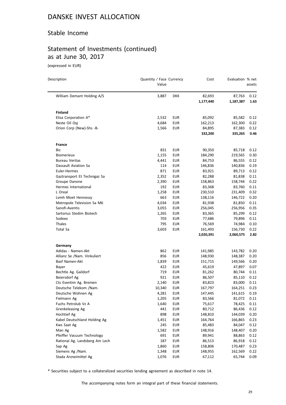### Stable Income

# Statement of Investments (continued) as at June 30, 2017

(expressed in EUR)

| Description                    | Quantity / Face Currency<br>Value |            | Cost      | Evaluation % net | assets |
|--------------------------------|-----------------------------------|------------|-----------|------------------|--------|
| William Demant Holding A/S     | 3,887                             | <b>DKK</b> | 82,693    | 87,763           | 0.12   |
|                                |                                   |            | 1,177,440 | 1,187,387        | 1.63   |
| <b>Finland</b>                 |                                   |            |           |                  |        |
| Elisa Corporation A*           | 2,532                             | EUR        | 85,092    | 85,582           | 0.12   |
| Neste Oil Oyj                  | 4,684                             | <b>EUR</b> | 162,213   | 162,300          | 0.22   |
| Orion Corp (New)-Shs -B-       | 1,566                             | EUR        | 84,895    | 87,383           | 0.12   |
|                                |                                   |            | 332,200   | 335,265          | 0.46   |
| France                         |                                   |            |           |                  |        |
| Bic                            | 831                               | <b>EUR</b> | 90,350    | 85,718           | 0.12   |
| <b>Biomerieux</b>              | 1,155                             | EUR        | 184,290   | 219,565          | 0.30   |
| <b>Bureau Veritas</b>          | 4,441                             | EUR        | 84,753    | 86,555           | 0.12   |
| Dassault Aviation Sa           | 114                               | <b>EUR</b> | 146,836   | 140,836          | 0.19   |
| Euler-Hermes                   | 871                               | <b>EUR</b> | 83,921    | 89,713           | 0.12   |
| Gaztransport Et Technigaz Sa   | 2,352                             | <b>EUR</b> | 82,288    | 81,838           | 0.11   |
| Groupe Danone                  | 2,390                             | EUR        | 158,863   | 158,744          | 0.22   |
| Hermes International           | 192                               | EUR        | 83,368    | 83,760           | 0.11   |
| L Oreal                        | 1,258                             | <b>EUR</b> | 230,510   | 231,409          | 0.32   |
| Lymh Moet Hennessy             | 663                               | EUR        | 138,116   | 146,722          | 0.20   |
| Metropole Television Sa M6     | 4,034                             | EUR        | 81,938    | 81,850           | 0.11   |
| Sanofi-Aventis                 | 3,055                             | <b>EUR</b> | 256,045   | 256,956          | 0.35   |
| Sartorius Stedim Biotech       | 1,265                             | EUR        | 83,365    | 85,299           | 0.12   |
| Sodexo                         | 703                               | <b>EUR</b> | 77,686    | 79,896           | 0.11   |
| Thales                         | 795                               | <b>EUR</b> | 76,569    | 74,984           | 0.10   |
| <b>Total Sa</b>                | 3,603                             | <b>EUR</b> | 161,493   | 156,730          | 0.22   |
|                                |                                   |            | 2,020,391 | 2,060,575        | 2.82   |
| Germany                        |                                   |            |           |                  |        |
| Adidas - Namen-Akt             | 862                               | EUR        | 141,985   | 143,782          | 0.20   |
| Allianz Se /Nam. Vinkuliert    | 856                               | EUR        | 148,930   | 148,387          | 0.20   |
| Basf Namen-Akt                 | 1,839                             | EUR        | 151,715   | 149,566          | 0.20   |
| Bayer                          | 422                               | EUR        | 45,619    | 47,897           | 0.07   |
| Bechtle Ag. Gaildorf           | 719                               | EUR        | 81,262    | 80,744           | 0.11   |
| Beiersdorf Ag                  | 921                               | EUR        | 86,507    | 85,110           | 0.12   |
| Cts Eventim Ag. Bremen         | 2,140                             | EUR        | 83,823    | 83,000           | 0.11   |
| Deutsche Telekom /Nam.         | 10,340                            | EUR        | 167,797   | 164,251          | 0.23   |
| Deutsche Wohnen Ag             | 4,281                             | <b>EUR</b> | 147,445   | 141,615          | 0.19   |
| Fielmann Ag                    | 1,205                             | <b>EUR</b> | 83,566    | 81,072           | 0.11   |
| Fuchs Petrolub Vz A            | 1,640                             | EUR        | 75,617    | 78,425           | 0.11   |
| Grenkeleasing Ag               | 441                               | <b>EUR</b> | 80,712    | 86,436           | 0.12   |
| Hochtief Ag                    | 898                               | <b>EUR</b> | 148,810   | 144,039          | 0.20   |
| Kabel Deutschland Holding Ag   | 1,451                             | EUR        | 164,764   | 166,865          | 0.23   |
| Kws Saat Ag                    | 245                               | <b>EUR</b> | 85,483    | 84,047           | 0.12   |
| Man Ag                         | 1,582                             | <b>EUR</b> | 148,916   | 148,407          | 0.20   |
| Pfeiffer Vacuum Technology     | 691                               | <b>EUR</b> | 89,941    | 88,863           | 0.12   |
| Rational Ag. Landsberg Am Lech | 187                               | <b>EUR</b> | 86,513    | 86,918           | 0.12   |
| Sap Ag                         | 1,860                             | EUR        | 158,806   | 170,487          | 0.23   |
| Siemens Ag /Nam.               | 1,348                             | <b>EUR</b> | 148,955   | 162,569          | 0.22   |
| Stada Arzneimittel Ag          | 1,076                             | <b>EUR</b> | 67,112    | 65,744           | 0.09   |

\* Securities subject to a collateralized securities lending agreement as described in note 14.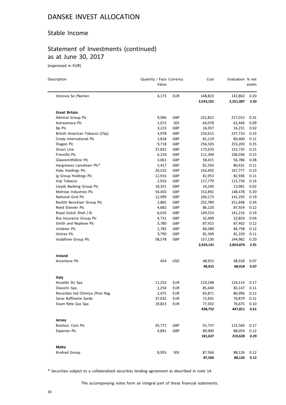### Stable Income

# Statement of Investments (continued) as at June 30, 2017

(expressed in EUR)

| Description                      | Quantity / Face Currency<br>Value |            | Cost      | Evaluation % net | assets |
|----------------------------------|-----------------------------------|------------|-----------|------------------|--------|
| Vonovia Se /Namen                | 4,173                             | <b>EUR</b> | 148,823   | 142,863          | 0.20   |
|                                  |                                   |            | 2,543,101 | 2,551,087        | 3.50   |
| <b>Great Britain</b>             |                                   |            |           |                  |        |
| Admiral Group Plc                | 9,996                             | GBP        | 231,822   | 227,015          | 0.31   |
| Astrazeneca Plc                  | 1,072                             | SEK        | 64,078    | 62,446           | 0.09   |
| Bp Plc                           | 3,223                             | GBP        | 16,937    | 16,231           | 0.02   |
| British American Tobacco (25p)   | 3,978                             | GBP        | 233,615   | 237,710          | 0.33   |
| Croda International Plc          | 1,818                             | GBP        | 81,119    | 80,400           | 0.11   |
| Diageo Plc                       | 9,718                             | GBP        | 256,505   | 253,203          | 0.35   |
| Direct Line                      | 37,831                            | GBP        | 173,670   | 152,735          | 0.21   |
| Fresnillo Plc                    | 6,216                             | GBP        | 111,304   | 106,036          | 0.15   |
| Glaxosmithkline Plc              | 3,061                             | GBP        | 58,415    | 56,786           | 0.08   |
| Hargreaves Lansdown Plc*         | 5,417                             | GBP        | 81,593    | 80,431           | 0.11   |
| Hsbc Holdings Plc                | 20,532                            | GBP        | 156,492   | 167,777          | 0.23   |
| Ig Group Holdings Plc            | 12,916                            | GBP        | 81,953    | 82,936           | 0.11   |
| Imp Tobacco                      | 2,916                             | GBP        | 117,779   | 115,734          | 0.16   |
| Lloyds Banking Group Plc         | 18,351                            | GBP        | 14,240    | 13,981           | 0.02   |
| Melrose Industries Plc           | 54,450                            | GBP        | 152,892   | 148,478          | 0.20   |
| National Grid Plc                | 12,999                            | GBP        | 160,173   | 141,193          | 0.19   |
| Reckitt Benckiser Group Plc      | 2,865                             | GBP        | 252,789   | 251,448          | 0.34   |
| Reed Elsevier Plc                | 4,682                             | GBP        | 86,120    | 87,924           | 0.12   |
| Royal Dutch Shell /-B-           | 6,010                             | GBP        | 149,253   | 141,216          | 0.19   |
| Rsa Insurance Group Plc          | 4,731                             | GBP        | 32,409    | 32,859           | 0.04   |
| Smith and Nephew Plc             | 5,780                             | GBP        | 87,915    | 87,402           | 0.12   |
| Unilever Plc                     | 1,785                             | GBP        | 84,589    | 84,758           | 0.12   |
| Victrex Plc                      | 3,790                             | GBP        | 81,349    | 81,193           | 0.11   |
| Vodafone Group Plc               | 58,578                            | GBP        | 157,130   | 144,982          | 0.20   |
|                                  |                                   |            | 2,924,141 | 2,854,874        | 3.91   |
| Ireland                          |                                   |            |           |                  |        |
| Accenture Plc                    | 454                               | <b>USD</b> | 48,915    | 48,918           | 0.07   |
|                                  |                                   |            | 48,915    | 48,918           | 0.07   |
| Italy                            |                                   |            |           |                  |        |
| Ansaldo Sts Spa                  | 11,232                            | EUR        | 119,248   | 124,114          | 0.17   |
| Diasorin Spa                     | 1,256                             | EUR        | 85,640    | 83,147           | 0.11   |
| Recordati Ind Chimica / Post Rag | 2,475                             | EUR        | 83,871    | 86,996           | 0.12   |
| Saras Raffinerie Sarde           | 37,032                            | <b>EUR</b> | 72,691    | 76,879           | 0.11   |
| Snam Rete Gas Spa                | 19,823                            | <b>EUR</b> | 77,302    | 76,675           | 0.10   |
|                                  |                                   |            | 438,752   | 447,811          | 0.61   |
| Jersey                           |                                   |            |           |                  |        |
| Boohoo. Com Plc                  | 45,771                            | GBP        | 91,737    | 122,569          | 0.17   |
| Experian Plc                     | 4,891                             | GBP        | 89,900    | 88,059           | 0.12   |
|                                  |                                   |            | 181,637   | 210,628          | 0.29   |
| Malta                            |                                   |            |           |                  |        |
| Kindred Group                    | 8,955                             | SEK        | 87,566    | 88,126           | 0.12   |
|                                  |                                   |            | 87,566    | 88,126           | 0.12   |

\* Securities subject to a collateralized securities lending agreement as described in note 14.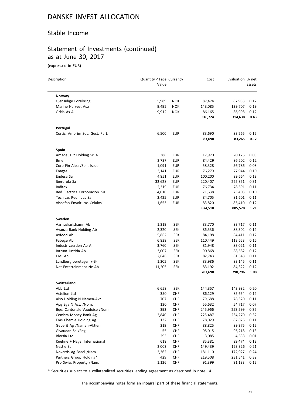### Stable Income

# Statement of Investments (continued) as at June 30, 2017

(expressed in EUR)

| Description                     | Quantity / Face Currency<br>Value |            | Cost              | Evaluation % net  | assets       |
|---------------------------------|-----------------------------------|------------|-------------------|-------------------|--------------|
|                                 |                                   |            |                   |                   |              |
| Norway                          |                                   |            |                   |                   |              |
| Gjensidige Forsikring           | 5,989                             | <b>NOK</b> | 87,474            | 87,933            | 0.12         |
| Marine Harvest Asa              | 9,495                             | <b>NOK</b> | 143,085           | 139,707           | 0.19         |
| Orkla As A                      | 9,912                             | <b>NOK</b> | 86,165<br>316,724 | 86,998<br>314,638 | 0.12<br>0.43 |
| Portugal                        |                                   |            |                   |                   |              |
| Cortic. Amorim Soc. Gest. Part. | 6,500                             | <b>EUR</b> | 83,690            | 83,265            | 0.12         |
|                                 |                                   |            | 83,690            | 83,265            | 0.12         |
| Spain                           |                                   |            |                   |                   |              |
| Amadeus It Holding Sr. A        | 388                               | EUR        | 17,970            | 20,126            | 0.03         |
| <b>Bme</b>                      | 2,737                             | <b>EUR</b> | 84,429            | 86,202            | 0.12         |
| Corp Fin Alba /Split Issue      | 1,091                             | EUR        | 58,328            | 56,786            | 0.08         |
| Enagas                          | 3,141                             | <b>EUR</b> | 76,279            | 77,944            | 0.10         |
| Endesa Sa                       | 4,851                             | <b>EUR</b> | 100,200           | 99,664            | 0.13         |
| Iberdrola Sa                    | 32,628                            | <b>EUR</b> | 220,407           | 225,851           | 0.31         |
| Inditex                         | 2,319                             | EUR        | 76,734            | 78,591            | 0.11         |
| Red Electrica Corporacion. Sa   | 4,010                             | EUR        | 71,638            | 73,403            | 0.10         |
| Tecnicas Reunidas Sa            | 2,425                             | EUR        | 84,705            | 81,601            | 0.11         |
| Viscofan Envolturas Celulosi    | 1,653                             | <b>EUR</b> | 83,820            | 85,410            | 0.12         |
|                                 |                                   |            | 874,510           | 885,578           | 1.21         |
| Sweden                          |                                   |            |                   |                   |              |
| Aarhuskarlshamn Ab              | 1,319                             | <b>SEK</b> | 83,770            | 83,717            | 0.11         |
| Avanza Bank Holding Ab          | 2,320                             | <b>SEK</b> | 86,536            | 88,302            | 0.12         |
| Axfood Ab                       | 5,862                             | <b>SEK</b> | 84,198            | 84,411            | 0.12         |
| Fabege Ab                       | 6,829                             | <b>SEK</b> | 110,449           | 113,653           | 0.16         |
| Industrivaerden Ab A            | 3,760                             | <b>SEK</b> | 81,948            | 83,021            | 0.11         |
| Intrum Justitia Ab              | 3,007                             | <b>SEK</b> | 90,868            | 88,682            | 0.12         |
| J.M. Ab                         | 2,648                             | <b>SEK</b> | 82,743            | 81,543            | 0.11         |
| Lundbergfoeretagen /-B-         | 1,205                             | <b>SEK</b> | 83,986            | 83,145            | 0.11         |
| Net Entertainment Ne Ab         | 11,205                            | <b>SEK</b> | 83,192            | 84,322            | 0.12         |
|                                 |                                   |            | 787,690           | 790,796           | 1.08         |
| <b>Switzerland</b>              |                                   |            |                   |                   |              |
| Abb Ltd                         | 6,658                             | SEK        | 144,357           | 143,982           | 0.20         |
| Actelion Ltd                    | 350                               | <b>CHF</b> | 86,129            | 85,654            | 0.12         |
| Also Holding N Namen-Akt.       | 707                               | <b>CHF</b> | 79,688            | 78,320            | 0.11         |
| Apg Sga N Act. /Nom.            | 130                               | <b>CHF</b> | 55,632            | 54,717            | 0.07         |
| Bge. Cantonale Vaudoise /Nom.   | 393                               | <b>CHF</b> | 245,966           | 253,599           | 0.35         |
| Cembra Money Bank Ag            | 2,840                             | <b>CHF</b> | 225,487           | 234,270           | 0.32         |
| Ems Chemie Holding Ag           | 132                               | <b>CHF</b> | 78,029            | 82,826            | 0.11         |
| Geberit Ag /Namen-Aktien        | 219                               | <b>CHF</b> | 88,825            | 89,375            | 0.12         |
| Givaudan Sa /Reg.               | 55                                | <b>CHF</b> | 95,015            | 96,218            | 0.13         |
| Idorsia Ltd                     | 293                               | CHF        | 3,085             | 4,633             | 0.01         |
| Kuehne + Nagel International    | 618                               | <b>CHF</b> | 85,381            | 89,474            | 0.12         |
| Nestle Sa                       | 2,003                             | <b>CHF</b> | 149,439           | 153,326           | 0.21         |
| Novartis Ag Basel /Nam.         | 2,362                             | <b>CHF</b> | 181,110           | 172,927           | 0.24         |
| Partners Group Holding*         | 429                               | <b>CHF</b> | 219,508           | 231,541           | 0.32         |
| Psp Swiss Property /Nam.        | 1,126                             | CHF        | 91,399            | 91,133            | 0.12         |

\* Securities subject to a collateralized securities lending agreement as described in note 14.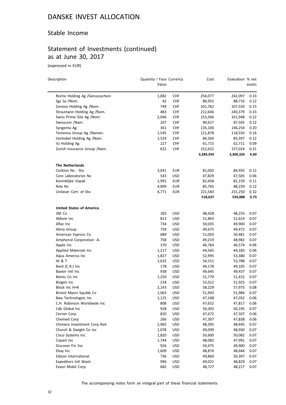### Stable Income

# Statement of Investments (continued) as at June 30, 2017

(expressed in EUR)

| Description                     | Quantity / Face Currency<br>Value |            | Cost                 | Evaluation % net     | assets       |
|---------------------------------|-----------------------------------|------------|----------------------|----------------------|--------------|
|                                 |                                   |            |                      |                      |              |
| Roche Holding Ag /Genussschein  | 1,082                             | <b>CHF</b> | 254,077              | 242,097              | 0.33         |
| Sgs Sa /Nom.                    | 42                                | CHF        | 86,952               | 88,716               | 0.12         |
| Sonova Holding Ag /Nom.         | 749                               | <b>CHF</b> | 101,762              | 107,550              | 0.15         |
| Straumann Holding Ag /Nom.      | 483                               | <b>CHF</b> | 212,646              | 240,379              | 0.33         |
| Swiss Prime Site Ag /Nom.       | 2,046                             | <b>CHF</b> | 153,366              | 161,948              | 0.22         |
| Swisscom /Nam.                  | 207                               | <b>CHF</b> | 90,617               | 87,505               | 0.12         |
| Syngenta Ag                     | 361                               | <b>CHF</b> | 135,100              | 146,254              | 0.20         |
| Temenos Group Ag /Namen.        | 1,545                             | CHF        | 121,878              | 118,550              | 0.16         |
| Vontobel Holding Ag /Nam.       | 1,524                             | <b>CHF</b> | 84,569               | 85,597               | 0.12         |
| Vz Holding Ag                   | 227                               | CHF        | 61,715               | 62,711               | 0.09         |
| Zurich Insurance Group / Nam.   | 622                               | CHF        | 152,622<br>3,284,354 | 157,024<br>3,360,326 | 0.21<br>4.60 |
| <b>The Netherlands</b>          |                                   |            |                      |                      |              |
| Corbion Nv - Shs                | 3,041                             | EUR        | 81,002               | 84,935               | 0.12         |
| Core Laboratories Nv            | 543                               | USD        | 47,829               | 47,505               | 0.06         |
| Koninklijke Vopak               | 1,991                             | EUR        | 82,458               | 82,159               | 0.11         |
| Relx Nv                         | 4,909                             | EUR        | 85,765               | 88,239               | 0.12         |
| Unilever Cert. of Shs           | 4,771                             | <b>EUR</b> | 221,583              | 231,250              | 0.32         |
|                                 |                                   |            | 518,637              | 534,088              | 0.73         |
| <b>United States of America</b> |                                   |            |                      |                      |              |
| 3M Co                           | 265                               | USD        | 48,428               | 48,255               | 0.07         |
| Abbvie Inc                      | 813                               | <b>USD</b> | 51,863               | 51,624               | 0.07         |
| Aflac Inc                       | 734                               | USD        | 50,035               | 49,900               | 0.07         |
| Altria Group                    | 759                               | USD        | 49,675               | 49,472               | 0.07         |
| American Express Co             | 689                               | USD        | 51,003               | 50,481               | 0.07         |
| Amphenol Corporation -A-        | 758                               | USD        | 49,219               | 48,982               | 0.07         |
| Apple Inc                       | 370                               | USD        | 46,764               | 46,574               | 0.06         |
| Applied Materials Inc           | 1,217                             | USD        | 44,565               | 44,183               | 0.06         |
| Aqua America Inc                | 1,827                             | USD        | 52,995               | 53,380               | 0.07         |
| At & T                          | 1,632                             | <b>USD</b> | 54,151               | 53,788               | 0.07         |
| Bard (C.R.) Inc                 | 178                               | USD        | 49,178               | 49,105               | 0.07         |
| Baxter Intl Inc                 | 938                               | USD        | 49,645               | 49,437               | 0.07         |
| Bemis Co Inc                    | 1,250                             | USD        | 51,779               | 51,415               | 0.07         |
| Biogen Inc                      | 218                               | USD        | 52,012               | 51,925               | 0.07         |
| Block Inc H+R                   | 2,143                             | USD        | 58,229               | 57,975               | 0.08         |
| Bristol Myers Squibb Co         | 1,063                             | <b>USD</b> | 51,943               | 51,984               | 0.07         |
| <b>Bwx Technologies Inc</b>     | 1,125                             | USD        | 47,168               | 47,032               | 0.06         |
| C.H. Robinson Worldwide Inc     | 808                               | <b>USD</b> | 47,652               | 47,817               | 0.06         |
| Cdk Global Inc                  | 928                               | <b>USD</b> | 50,303               | 50,195               | 0.07         |
| Cerner Corp                     | 820                               | <b>USD</b> | 47,672               | 47,507               | 0.06         |
| Chemed Corp                     | 266                               | <b>USD</b> | 47,307               | 47,838               | 0.06         |
| Chimera Investment Corp Reit    | 2,965                             | USD        | 48,395               | 48,445               | 0.07         |
| Church & Dwight Co Inc          | 1,078                             | <b>USD</b> | 49,099               | 48,930               | 0.07         |
| Cisco Systems Inc               | 1,820                             | <b>USD</b> | 50,600               | 50,082               | 0.07         |
| Copart Inc                      | 1,744                             | <b>USD</b> | 48,082               | 47,991               | 0.07         |
| Discover Fin Svc                | 926                               | <b>USD</b> | 50,475               | 49,900               | 0.07         |
| Ebay Inc                        | 1,609                             | USD        | 48,874               | 48,646               | 0.07         |
| Edison International            | 736                               | <b>USD</b> | 49,860               | 50,397               | 0.07         |
| Expeditors Intl Wash.           | 996                               | USD        | 49,021               | 48,829               | 0.07         |
| Exxon Mobil Corp                | 682                               | USD        | 48,727               | 48,217               | 0.07         |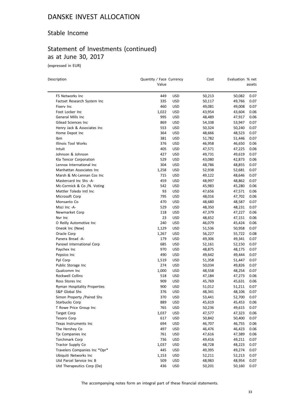### Stable Income

# Statement of Investments (continued) as at June 30, 2017

(expressed in EUR)

| Description                               | Quantity / Face Currency<br>Value |                          | Cost             | Evaluation % net | assets       |
|-------------------------------------------|-----------------------------------|--------------------------|------------------|------------------|--------------|
| F5 Networks Inc                           | 449                               | <b>USD</b>               | 50,213           | 50,082           | 0.07         |
|                                           | 335                               |                          |                  | 49,766           |              |
| Factset Research System Inc<br>Fiserv Inc | 460                               | USD                      | 50,117           |                  | 0.07         |
| Foot Locker Inc                           | 1,022                             | <b>USD</b><br><b>USD</b> | 49,081<br>43,954 | 49,008<br>43,604 | 0.07<br>0.06 |
| General Mills Inc                         | 995                               |                          |                  |                  |              |
|                                           |                                   | <b>USD</b>               | 48,489           | 47,917           | 0.06         |
| Gilead Sciences Inc                       | 869<br>553                        | <b>USD</b>               | 54,338           | 53,947           | 0.07         |
| Henry Jack & Associates Inc               |                                   | USD                      | 50,324           | 50,240           | 0.07         |
| Home Depot Inc                            | 364                               | <b>USD</b>               | 48,666           | 48,523           | 0.07         |
| Ibm                                       | 381                               | <b>USD</b>               | 51,782           | 51,446           | 0.07         |
| Illinois Tool Works                       | 376                               | <b>USD</b>               | 46,958           | 46,650           | 0.06         |
| Intuit                                    | 405                               | <b>USD</b>               | 47,571           | 47,225           | 0.06         |
| Johnson & Johnson                         | 427                               | USD                      | 49,731           | 49,619           | 0.07         |
| Kla Tencor Corporation                    | 529                               | <b>USD</b>               | 43,080           | 42,873           | 0.06         |
| Lennox International Inc                  | 304                               | USD                      | 48,786           | 48,855           | 0.07         |
| Manhattan Associates Inc                  | 1,258                             | USD                      | 52,938           | 52,681           | 0.07         |
| Marsh & Mc-Lennan Cos Inc                 | 715                               | USD                      | 49,122           | 48,646           | 0.07         |
| Mastercard Inc Shs -A-                    | 459                               | USD                      | 48,997           | 48,862           | 0.07         |
| Mc-Cormick & Co /N. Voting                | 542                               | USD                      | 45,983           | 45,280           | 0.06         |
| Mettler Toledo Intl Inc                   | 93                                | USD                      | 47,656           | 47,571           | 0.06         |
| Microsoft Corp                            | 795                               | <b>USD</b>               | 48,016           | 47,702           | 0.06         |
| Monsanto Co                               | 470                               | <b>USD</b>               | 48,680           | 48,587           | 0.07         |
| Msci Inc -A-                              | 529                               | <b>USD</b>               | 48,350           | 48,231           | 0.07         |
| Newmarket Corp                            | 118                               | <b>USD</b>               | 47,379           | 47,227           | 0.06         |
| Nvr Inc                                   | 23                                | <b>USD</b>               | 48,652           | 47,151           | 0.06         |
| O Reilly Automotive Inc                   | 240                               | USD                      | 46,079           | 45,424           | 0.06         |
| Oneok Inc (New)                           | 1,129                             | <b>USD</b>               | 51,536           | 50,958           | 0.07         |
| Oracle Corp                               | 1,267                             | USD                      | 56,227           | 55,722           | 0.08         |
| Panera Bread -A-                          | 179                               | <b>USD</b>               | 49,306           | 49,341           | 0.07         |
| Parexel International Corp                | 685                               | USD                      | 52,161           | 52,150           | 0.07         |
| Paychex Inc                               | 970                               | <b>USD</b>               | 48,875           | 48,175           | 0.07         |
| Pepsico Inc                               | 490                               | <b>USD</b>               | 49,642           | 49,444           | 0.07         |
| Ppl Corp                                  | 1,519                             | <b>USD</b>               | 51,358           | 51,447           | 0.07         |
| Public Storage Inc                        | 274                               | USD                      | 50,034           | 49,826           | 0.07         |
| Qualcomm Inc                              | 1,000                             | <b>USD</b>               | 48,558           | 48,254           | 0.07         |
| Rockwell Collins                          | 518                               | <b>USD</b>               | 47,184           | 47,273           | 0.06         |
| Ross Stores Inc                           | 909                               | <b>USD</b>               | 45,769           | 45,631           | 0.06         |
| Ryman Hospitality Properties              | 900                               | <b>USD</b>               | 51,012           | 51,211           | 0.07         |
| S&P Global Shs                            | 376                               | <b>USD</b>               | 48,341           | 48,106           | 0.07         |
| Simon Property /Paired Shs                | 370                               | <b>USD</b>               | 53,441           | 52,700           | 0.07         |
| <b>Starbucks Corp</b>                     | 889                               | <b>USD</b>               | 45,619           | 45,453           | 0.06         |
| T Rowe Price Group Inc                    | 765                               | USD                      | 50,236           | 49,615           | 0.07         |
| <b>Target Corp</b>                        | 1,037                             | <b>USD</b>               | 47,577           | 47,323           | 0.06         |
| <b>Tesoro Corp</b>                        | 617                               | <b>USD</b>               | 50,842           | 50,400           | 0.07         |
| Texas Instruments Inc                     | 694                               | <b>USD</b>               | 46,707           | 46,755           | 0.06         |
| The Hershey Co                            | 497                               | <b>USD</b>               | 46,476           | 46,423           | 0.06         |
| Tjx Companies Inc                         | 761                               | <b>USD</b>               | 47,616           | 47,389           | 0.06         |
| Torchmark Corp                            | 736                               | <b>USD</b>               | 49,416           | 49,211           | 0.07         |
| Tractor Supply Co                         | 1,037                             | USD                      | 48,728           | 48,223           | 0.07         |
| Travelers Companies Inc *Opr*             | 445                               | <b>USD</b>               | 49,395           | 49,274           | 0.07         |
| Ubiquiti Networks Inc                     | 1,153                             | USD                      | 52,211           | 52,213           | 0.07         |
| Utd Parcel Service Inc B                  | 509                               | USD                      | 48,983           | 48,954           | 0.07         |
| Utd Therapeutics Corp (De)                | 436                               | <b>USD</b>               | 50,201           | 50,160           | 0.07         |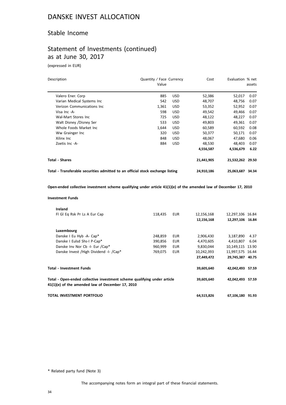### Stable Income

## Statement of Investments (continued) as at June 30, 2017

(expressed in EUR)

| Description                                                                    | Quantity / Face Currency<br>Value |            | Cost       | Evaluation % net | assets |
|--------------------------------------------------------------------------------|-----------------------------------|------------|------------|------------------|--------|
| Valero Ener. Corp                                                              | 885                               | <b>USD</b> | 52,386     | 52,017           | 0.07   |
| Varian Medical Systems Inc                                                     | 542                               | <b>USD</b> | 48,707     | 48,756           | 0.07   |
| Verizon Communications Inc                                                     | 1,361                             | <b>USD</b> | 53,352     | 52,952           | 0.07   |
| Visa Inc -A-                                                                   | 598                               | <b>USD</b> | 49,542     | 49,466           | 0.07   |
| Wal-Mart Stores Inc                                                            | 725                               | <b>USD</b> | 48,122     | 48,227           | 0.07   |
| Walt Disney /Disney Ser                                                        | 533                               | <b>USD</b> | 49,803     | 49,361           | 0.07   |
| Whole Foods Market Inc.                                                        | 1,644                             | <b>USD</b> | 60,589     | 60,592           | 0.08   |
| Ww Grainger Inc                                                                | 320                               | <b>USD</b> | 50,377     | 50,171           | 0.07   |
| Xilinx Inc                                                                     | 848                               | <b>USD</b> | 48,067     | 47,680           | 0.06   |
| Zoetis Inc -A-                                                                 | 884                               | <b>USD</b> | 48,530     | 48.403           | 0.07   |
|                                                                                |                                   |            | 4,556,587  | 4,536,679        | 6.22   |
| Total - Shares                                                                 |                                   |            | 21,441,905 | 21,532,262 29.50 |        |
| Total - Transferable securities admitted to an official stock exchange listing |                                   |            | 24,910,186 | 25,063,687       | 34.34  |

**Open-ended collective investment scheme qualifying under article 41(1)(e) of the amended law of December 17, 2010**

#### **Investment Funds**

|                                 | Ireland                                                                                                                      |         |            |            |                  |      |
|---------------------------------|------------------------------------------------------------------------------------------------------------------------------|---------|------------|------------|------------------|------|
|                                 | FI GI Eq Rsk Pr Ls A Eur Cap                                                                                                 | 118,435 | <b>EUR</b> | 12,156,168 | 12,297,106 16.84 |      |
|                                 |                                                                                                                              |         |            | 12,156,168 | 12,297,106 16.84 |      |
|                                 | Luxembourg                                                                                                                   |         |            |            |                  |      |
|                                 | Danske I Eu Hyb -A- Cap*                                                                                                     | 248,859 | <b>EUR</b> | 2,906,430  | 3,187,890        | 4.37 |
|                                 | Danske I Eulsd Shs-I P-Cap*                                                                                                  | 390,856 | <b>EUR</b> | 4,470,605  | 4,410,807        | 6.04 |
|                                 | Danske Inv Nor Cb -I- Eur /Cap*                                                                                              | 960,999 | <b>EUR</b> | 9,830,044  | 10,149,115 13.90 |      |
|                                 | Danske Invest / High Dividend - I- / Cap*                                                                                    | 769,075 | <b>EUR</b> | 10,242,393 | 11,997,575 16.44 |      |
|                                 |                                                                                                                              |         |            | 27,449,472 | 29,745,387 40.75 |      |
| <b>Total - Investment Funds</b> |                                                                                                                              |         |            | 39,605,640 | 42,042,493 57.59 |      |
|                                 | Total - Open-ended collective investment scheme qualifying under article<br>41(1)(e) of the amended law of December 17, 2010 |         |            | 39,605,640 | 42,042,493 57.59 |      |
|                                 | TOTAL INVESTMENT PORTFOLIO                                                                                                   |         |            | 64,515,826 | 67,106,180 91.93 |      |

\* Related party fund (Note 3)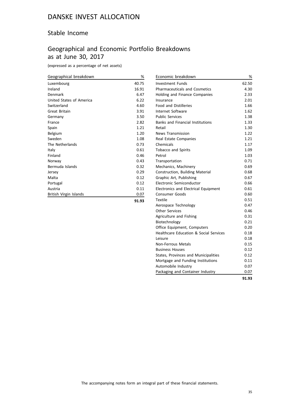### Stable Income

## Geographical and Economic Portfolio Breakdowns as at June 30, 2017

(expressed as a percentage of net assets)

| Geographical breakdown   | %     |
|--------------------------|-------|
| Luxembourg               | 40.75 |
| Ireland                  | 16.91 |
| Denmark                  | 6.47  |
| United States of America | 6.22  |
| Switzerland              | 4.60  |
| Great Britain            | 3.91  |
| Germany                  | 3.50  |
| France                   | 2.82  |
| Spain                    | 1.21  |
| Belgium                  | 1.20  |
| Sweden                   | 1.08  |
| The Netherlands          | 0.73  |
| Italy                    | 0.61  |
| Finland                  | 0.46  |
| Norway                   | 0.43  |
| Bermuda Islands          | 0.32  |
| Jersey                   | 0.29  |
| Malta                    | 0.12  |
| Portugal                 | 0.12  |
| Austria                  | 0.11  |
| British Virgin Islands   | 0.07  |
|                          | 91.93 |

| Economic breakdown                          | %     |
|---------------------------------------------|-------|
| <b>Investment Funds</b>                     | 62.50 |
| <b>Pharmaceuticals and Cosmetics</b>        | 4.30  |
| Holding and Finance Companies               | 2.33  |
| Insurance                                   | 2.01  |
| <b>Food and Distilleries</b>                | 1.66  |
| Internet Software                           | 1.62  |
| <b>Public Services</b>                      | 1.38  |
| <b>Banks and Financial Institutions</b>     | 1.33  |
| Retail                                      | 1.30  |
| <b>News Transmission</b>                    | 1.22  |
| Real Estate Companies                       | 1.21  |
| Chemicals                                   | 1.17  |
| <b>Tobacco and Spirits</b>                  | 1.09  |
| Petrol                                      | 1.03  |
| Transportation                              | 0.71  |
| Mechanics, Machinery                        | 0.69  |
| Construction, Building Material             | 0.68  |
| Graphic Art, Publishing                     | 0.67  |
| Electronic Semiconductor                    | 0.66  |
| <b>Electronics and Electrical Equipment</b> | 0.61  |
| Consumer Goods                              | 0.60  |
| <b>Textile</b>                              | 0.51  |
| Aerospace Technology                        | 0.47  |
| <b>Other Services</b>                       | 0.46  |
| Agriculture and Fishing                     | 0.31  |
| Biotechnology                               | 0.21  |
| Office Equipment, Computers                 | 0.20  |
| Healthcare Education & Social Services      | 0.18  |
| Leisure                                     | 0.18  |
| Non-Ferrous Metals                          | 0.15  |
| <b>Business Houses</b>                      | 0.12  |
| States, Provinces and Municipalities        | 0.12  |
| Mortgage and Funding Institutions           | 0.11  |
| Automobile Industry                         | 0.07  |
| Packaging and Container Industry            | 0.07  |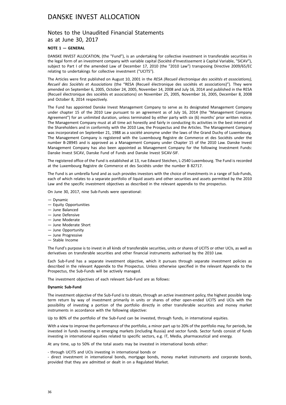# Notes to the Unaudited Financial Statements

as at June 30, 2017

### **NOTE 1 — GENERAL**

DANSKE INVEST ALLOCATION, (the "Fund"), is an undertaking for collective investment in transferable securities in the legal form of an investment company with variable capital (Société d'Investissement à Capital Variable, "SICAV"), subject to Part I of the amended Law of December 17, 2010 (the "2010 Law") transposing Directive 2009/65/EC relating to undertakings for collective investment ("UCITS").

The Articles were first published on August 10, 2001 in the *RESA (Recueil électronique des sociétés et associations), Recueil des Sociétés et Associations* (the "RESA (Recueil électronique des sociétés et associations)"). They were amended on September 6, 2005, October 24, 2005, November 14, 2008 and July 16, 2014 and published in the RESA (Recueil électronique des sociétés et associations) on November 25, 2005, November 16, 2005, December 8, 2008 and October 8, 2014 respectively.

The Fund has appointed Danske Invest Management Company to serve as its designated Management Company under chapter 15 of the 2010 Law pursuant to an agreement as of July 16, 2014 (the "Management Company Agreement") for an unlimited duration, unless terminated by either party with six (6) months' prior written notice. The Management Company must at all time act honestly and fairly in conducting its activities in the best interest of the Shareholders and in conformity with the 2010 Law, the Prospectus and the Articles. The Management Company was incorporated on September 21, 1988 as a société anonyme under the laws of the Grand Duchy of Luxembourg. The Management Company is registered with the Luxembourg Registre de Commerce et des Sociétés under the number B-28945 and is approved as a Management Company under Chapter 15 of the 2010 Law. Danske Invest Management Company has also been appointed as Management Company for the following Investment Funds: Danske Invest SICAV, Danske Fund of Funds and Danske Invest SICAV-SIF.

The registered office of the Fund is established at 13, rue Edward Steichen, L-2540 Luxembourg. The Fund is recorded at the Luxembourg Registre de Commerce et des Sociétés under the number B 82717.

The Fund is an umbrella fund and as such provides investors with the choice of investments in a range of Sub-Funds, each of which relates to a separate portfolio of liquid assets and other securities and assets permitted by the 2010 Law and the specific investment objectives as described in the relevant appendix to the prospectus.

On June 30, 2017, nine Sub-Funds were operational:

- Dynamic
- Equity Opportunities
- June Balanced
- June Defensive
- June Moderate
- June Moderate Short
- June Opportunity
- June Progressive
- Stable Income

The Fund's purpose is to invest in all kinds of transferable securities, units or shares of UCITS or other UCIs, as well as derivatives on transferable securities and other financial instruments authorised by the 2010 Law.

Each Sub-Fund has a separate investment objective, which it pursues through separate investment policies as described in the relevant Appendix to the Prospectus. Unless otherwise specified in the relevant Appendix to the Prospectus, the Sub-Funds will be actively managed.

The investment objectives of each relevant Sub-Fund are as follows:

#### **Dynamic Sub-Fund**

The investment objective of the Sub-Fund is to obtain, through an active investment policy, the highest possible longterm return by way of investment primarily in units or shares of other open-ended UCITS and UCIs with the possibility of investing a portion of the portfolio directly in other transferable securities and money market instruments in accordance with the following objective:

Up to 80% of the portfolio of the Sub-Fund can be invested, through funds, in international equities.

With a view to improve the performance of the portfolio, a minor part up to 20% of the portfolio may, for periods, be invested in funds investing in emerging markets (including Russia) and sector funds. Sector funds consist of funds investing in international equities related to specific sectors, e.g. IT, Media, pharmaceutical and energy.

At any time, up to 50% of the total assets may be invested in international bonds either:

- through UCITS and UCIs investing in international bonds or

- direct investment in international bonds, mortgage bonds, money market instruments and corporate bonds, provided that they are admitted or dealt in on a Regulated Market.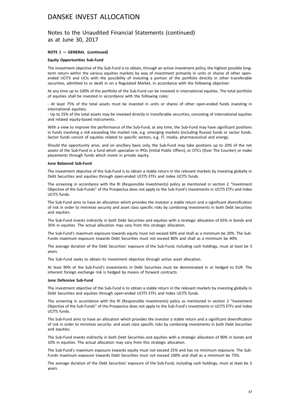### Notes to the Unaudited Financial Statements (continued) as at June 30, 2017

#### **NOTE 1 — GENERAL (continued)**

#### **Equity Opportunities Sub-Fund**

The investment objective of the Sub-Fund is to obtain, through an active investment policy, the highest possible longterm return within the various equities markets by way of investment primarily in units or shares of other openended UCITS and UCIs with the possibility of investing a portion of the portfolio directly in other transferable securities, admitted to or dealt in on a Regulated Market, in accordance with the following objective:

At any time up to 100% of the portfolio of the Sub-Fund can be invested in international equities. The total portfolio of equities shall be invested in accordance with the following rules:

- At least 75% of the total assets must be invested in units or shares of other open-ended funds investing in international equities;

- Up to 25% of the total assets may be invested directly in transferable securities, consisting of international equities and related equity-based instruments.

With a view to improve the performance of the Sub-Fund, at any time, the Sub-Fund may have significant positions in funds involving a risk exceeding the market risk, e.g. emerging markets (including Russia) funds or sector funds. Sector funds consist of equities related to specific sectors, e.g. IT, media, pharmaceutical and energy.

Should the opportunity arise, and on ancillary basis only, the Sub-Fund may take positions up to 20% of the net assets of the Sub-Fund in a fund which specialize in IPOs (Initial Public Offers), or OTCs (Over The Counter) or make placements through funds which invest in private equity.

#### **June Balanced Sub-Fund**

The investment objective of the Sub-Fund is to obtain a stable return in the relevant markets by investing globally in Debt Securities and equities through open-ended UCITS ETFs and Index UCITS funds.

The screening in accordance with the RI (Responsible Investments) policy as mentioned in section 2 "Investment Objective of the Sub-Funds" of the Prospectus does not apply to the Sub-Fund's investments in UCITS ETFs and Index UCITS funds.

The Sub-Fund aims to have an allocation which provides the investor a stable return and a significant diversification of risk in order to minimize security and asset class specific risks by combining investments in both Debt Securities and equities.

The Sub-Fund invests indirectly in both Debt Securities and equities with a strategic allocation of 65% in bonds and 35% in equities. The actual allocation may vary from this strategic allocation.

The Sub-Fund's maximum exposure towards equity must not exceed 60% and shall as a minimum be 20%. The Sub-Funds maximum exposure towards Debt Securities must not exceed 80% and shall as a minimum be 40%.

The average duration of the Debt Securities' exposure of the Sub-Fund, including cash holdings, must at least be 3 years.

The Sub-Fund seeks to obtain its investment objective through active asset allocation.

At least 90% of the Sub-Fund's investments in Debt Securities must be denominated in or hedged to EUR. The inherent foreign exchange risk is hedged by means of forward contracts.

#### **June Defensive Sub-Fund**

The investment objective of the Sub-Fund is to obtain a stable return in the relevant markets by investing globally in Debt Securities and equities through open-ended UCITS ETFs and Index UCITS funds.

The screening in accordance with the RI (Responsible Investments) policy as mentioned in section 2 "Investment Objective of the Sub-Funds" of the Prospectus does not apply to the Sub-Fund's investments in UCITS ETFs and Index UCITS funds.

The Sub-Fund aims to have an allocation which provides the investor a stable return and a significant diversification of risk in order to minimize security- and asset class specific risks by combining investments in both Debt Securities and equities.

The Sub-Fund invests indirectly in both Debt Securities and equities with a strategic allocation of 90% in bonds and 10% in equities. The actual allocation may vary from this strategic allocation.

The Sub-Fund's maximum exposure towards equity must not exceed 25% and has no minimum exposure. The Sub-Funds maximum exposure towards Debt Securities must not exceed 100% and shall as a minimum be 75%.

The average duration of the Debt Securities' exposure of the Sub-Fund, including cash holdings, must at least be 3 years.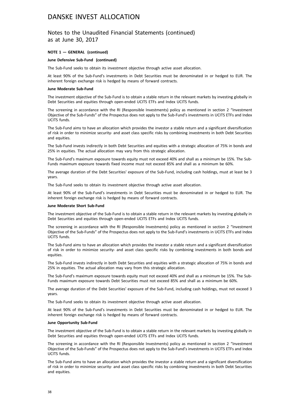### Notes to the Unaudited Financial Statements (continued) as at June 30, 2017

#### **NOTE 1 — GENERAL (continued)**

#### **June Defensive Sub-Fund (continued)**

The Sub-Fund seeks to obtain its investment objective through active asset allocation.

At least 90% of the Sub-Fund's investments in Debt Securities must be denominated in or hedged to EUR. The inherent foreign exchange risk is hedged by means of forward contracts.

#### **June Moderate Sub-Fund**

The investment objective of the Sub-Fund is to obtain a stable return in the relevant markets by investing globally in Debt Securities and equities through open-ended UCITS ETFs and Index UCITS funds.

The screening in accordance with the RI (Responsible Investments) policy as mentioned in section 2 "Investment Objective of the Sub-Funds" of the Prospectus does not apply to the Sub-Fund's investments in UCITS ETFs and Index UCITS funds.

The Sub-Fund aims to have an allocation which provides the investor a stable return and a significant diversification of risk in order to minimize security- and asset class specific risks by combining investments in both Debt Securities and equities.

The Sub-Fund invests indirectly in both Debt Securities and equities with a strategic allocation of 75% in bonds and 25% in equities. The actual allocation may vary from this strategic allocation.

The Sub-Fund's maximum exposure towards equity must not exceed 40% and shall as a minimum be 15%. The Sub-Funds maximum exposure towards fixed income must not exceed 85% and shall as a minimum be 60%.

The average duration of the Debt Securities' exposure of the Sub-Fund, including cash holdings, must at least be 3 years.

The Sub-Fund seeks to obtain its investment objective through active asset allocation.

At least 90% of the Sub-Fund's investments in Debt Securities must be denominated in or hedged to EUR. The inherent foreign exchange risk is hedged by means of forward contracts.

#### **June Moderate Short Sub-Fund**

The investment objective of the Sub-Fund is to obtain a stable return in the relevant markets by investing globally in Debt Securities and equities through open-ended UCITS ETFs and Index UCITS funds.

The screening in accordance with the RI (Responsible Investments) policy as mentioned in section 2 "Investment Objective of the Sub-Funds" of the Prospectus does not apply to the Sub-Fund's investments in UCITS ETFs and Index UCITS funds.

The Sub-Fund aims to have an allocation which provides the investor a stable return and a significant diversification of risk in order to minimize security- and asset class specific risks by combining investments in both bonds and equities.

The Sub-Fund invests indirectly in both Debt Securities and equities with a strategic allocation of 75% in bonds and 25% in equities. The actual allocation may vary from this strategic allocation.

The Sub-Fund's maximum exposure towards equity must not exceed 40% and shall as a minimum be 15%. The Sub-Funds maximum exposure towards Debt Securities must not exceed 85% and shall as a minimum be 60%.

The average duration of the Debt Securities' exposure of the Sub-Fund, including cash holdings, must not exceed 3 years.

The Sub-Fund seeks to obtain its investment objective through active asset allocation.

At least 90% of the Sub-Fund's investments in Debt Securities must be denominated in or hedged to EUR. The inherent foreign exchange risk is hedged by means of forward contracts.

#### **June Opportunity Sub-Fund**

The investment objective of the Sub-Fund is to obtain a stable return in the relevant markets by investing globally in Debt Securities and equities through open-ended UCITS ETFs and Index UCITS funds.

The screening in accordance with the RI (Responsible Investments) policy as mentioned in section 2 "Investment Objective of the Sub-Funds" of the Prospectus does not apply to the Sub-Fund's investments in UCITS ETFs and Index UCITS funds.

The Sub-Fund aims to have an allocation which provides the investor a stable return and a significant diversification of risk in order to minimize security- and asset class specific risks by combining investments in both Debt Securities and equities.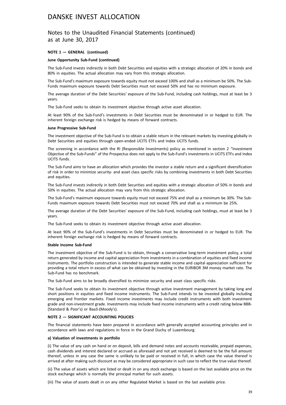### Notes to the Unaudited Financial Statements (continued) as at June 30, 2017

#### **NOTE 1 — GENERAL (continued)**

#### **June Opportunity Sub-Fund (continued)**

The Sub-Fund invests indirectly in both Debt Securities and equities with a strategic allocation of 20% in bonds and 80% in equities. The actual allocation may vary from this strategic allocation.

The Sub-Fund's maximum exposure towards equity must not exceed 100% and shall as a minimum be 50%. The Sub-Funds maximum exposure towards Debt Securities must not exceed 50% and has no minimum exposure.

The average duration of the Debt Securities' exposure of the Sub-Fund, including cash holdings, must at least be 3 years.

The Sub-Fund seeks to obtain its investment objective through active asset allocation.

At least 90% of the Sub-Fund's investments in Debt Securities must be denominated in or hedged to EUR. The inherent foreign exchange risk is hedged by means of forward contracts.

#### **June Progressive Sub-Fund**

The investment objective of the Sub-Fund is to obtain a stable return in the relevant markets by investing globally in Debt Securities and equities through open-ended UCITS ETFs and Index UCITS funds.

The screening in accordance with the RI (Responsible Investments) policy as mentioned in section 2 "Investment Objective of the Sub-Funds" of the Prospectus does not apply to the Sub-Fund's investments in UCITS ETFs and Index UCITS funds.

The Sub-Fund aims to have an allocation which provides the investor a stable return and a significant diversification of risk in order to minimize security- and asset class specific risks by combining investments in both Debt Securities and equities.

The Sub-Fund invests indirectly in both Debt Securities and equities with a strategic allocation of 50% in bonds and 50% in equities. The actual allocation may vary from this strategic allocation.

The Sub-Fund's maximum exposure towards equity must not exceed 75% and shall as a minimum be 30%. The Sub-Funds maximum exposure towards Debt Securities must not exceed 70% and shall as a minimum be 25%.

The average duration of the Debt Securities' exposure of the Sub-Fund, including cash holdings, must at least be 3 years.

The Sub-Fund seeks to obtain its investment objective through active asset allocation.

At least 90% of the Sub-Fund's investments in Debt Securities must be denominated in or hedged to EUR. The inherent foreign exchange risk is hedged by means of forward contracts.

#### **Stable Income Sub-Fund**

The investment objective of the Sub-Fund is to obtain, through a conservative long-term investment policy, a total return generated by income and capital appreciation from investments in a combination of equities and fixed income instruments. The portfolio construction is intended to generate stable income and capital appreciation sufficient for providing a total return in excess of what can be obtained by investing in the EURIBOR 3M money market rate. The Sub-Fund has no benchmark.

The Sub-Fund aims to be broadly diversified to minimize security and asset class specific risks.

The Sub-Fund seeks to obtain its investment objective through active investment management by taking long and short positions in equities and fixed income instruments. The Sub-Fund intends to be invested globally including emerging and frontier markets. Fixed income investments may include credit instruments with both investment grade and non-investment grade. Investments may include fixed income instruments with a credit rating below BBB- (Standard & Poor's) or Baa3-(Moody's).

#### **NOTE 2 — SIGNIFICANT ACCOUNTING POLICIES**

The financial statements have been prepared in accordance with generally accepted accounting principles and in accordance with laws and regulations in force in the Grand Duchy of Luxembourg.

#### **a) Valuation of investments in portfolio**

(i) The value of any cash on hand or on deposit, bills and demand notes and accounts receivable, prepaid expenses, cash dividends and interest declared or accrued as aforesaid and not yet received is deemed to be the full amount thereof, unless in any case the same is unlikely to be paid or received in full, in which case the value thereof is arrived at after making such discount as may be considered appropriate in such case to reflect the true value thereof.

(ii) The value of assets which are listed or dealt in on any stock exchange is based on the last available price on the stock exchange which is normally the principal market for such assets.

(iii) The value of assets dealt in on any other Regulated Market is based on the last available price.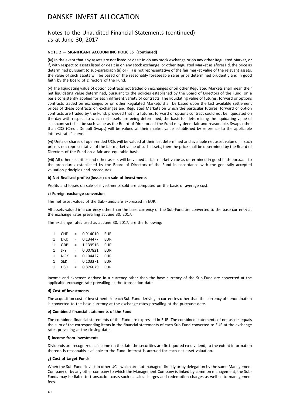### Notes to the Unaudited Financial Statements (continued) as at June 30, 2017

#### **NOTE 2 — SIGNIFICANT ACCOUNTING POLICIES (continued)**

(iv) In the event that any assets are not listed or dealt in on any stock exchange or on any other Regulated Market, or if, with respect to assets listed or dealt in on any stock exchange, or other Regulated Market as aforesaid, the price as determined pursuant to sub-paragraph (ii) or (iii) is not representative of the fair market value of the relevant assets, the value of such assets will be based on the reasonably foreseeable sales price determined prudently and in good faith by the Board of Directors of the Fund.

(v) The liquidating value of option contracts not traded on exchanges or on other Regulated Markets shall mean their net liquidating value determined, pursuant to the policies established by the Board of Directors of the Fund, on a basis consistently applied for each different variety of contracts. The liquidating value of futures, forward or options contracts traded on exchanges or on other Regulated Markets shall be based upon the last available settlement prices of these contracts on exchanges and Regulated Markets on which the particular futures, forward or option contracts are traded by the Fund; provided that if a futures, forward or options contract could not be liquidated on the day with respect to which net assets are being determined, the basis for determining the liquidating value of such contract shall be such value as the Board of Directors of the Fund may deem fair and reasonable. Swaps other than CDS (Credit Default Swaps) will be valued at their market value established by reference to the applicable interest rates' curve.

(vi) Units or shares of open-ended UCIs will be valued at their last determined and available net asset value or, if such price is not representative of the fair market value of such assets, then the price shall be determined by the Board of Directors of the Fund on a fair and equitable basis.

(vii) All other securities and other assets will be valued at fair market value as determined in good faith pursuant to the procedures established by the Board of Directors of the Fund in accordance with the generally accepted valuation principles and procedures.

#### **b) Net Realised profits/(losses) on sale of investments**

Profits and losses on sale of investments sold are computed on the basis of average cost.

#### **c) Foreign exchange conversion**

The net asset values of the Sub-Funds are expressed in EUR.

All assets valued in a currency other than the base currency of the Sub-Fund are converted to the base currency at the exchange rates prevailing at June 30, 2017.

The exchange rates used as at June 30, 2017, are the following:

| 1            | <b>CHF</b> | $=$ | 0.914010 | EUR        |
|--------------|------------|-----|----------|------------|
| 1            | DKK        | $=$ | 0.134477 | <b>EUR</b> |
| 1            | GBP        | $=$ | 1.139516 | <b>EUR</b> |
| 1            | <b>JPY</b> | $=$ | 0.007821 | <b>EUR</b> |
| $\mathbf{1}$ | <b>NOK</b> | $=$ | 0.104427 | <b>EUR</b> |
| 1            | <b>SEK</b> | $=$ | 0.103371 | <b>EUR</b> |
| 1            | USD        | $=$ | 0.876079 | <b>EUR</b> |

Income and expenses derived in a currency other than the base currency of the Sub-Fund are converted at the applicable exchange rate prevailing at the transaction date.

#### **d) Cost of investments**

The acquisition cost of investments in each Sub-Fund deriving in currencies other than the currency of denomination is converted to the base currency at the exchange rates prevailing at the purchase date.

#### **e) Combined financial statements of the Fund**

The combined financial statements of the Fund are expressed in EUR. The combined statements of net assets equals the sum of the corresponding items in the financial statements of each Sub-Fund converted to EUR at the exchange rates prevailing at the closing date.

#### **f) Income from investments**

Dividends are recognized as income on the date the securities are first quoted ex-dividend, to the extent information thereon is reasonably available to the Fund. Interest is accrued for each net asset valuation.

#### **g) Cost of target Funds**

When the Sub-Funds invest in other UCIs which are not managed directly or by delegation by the same Management Company or by any other company to which the Management Company is linked by common management, the Sub-Funds may be liable to transaction costs such as sales charges and redemption charges as well as to management fees.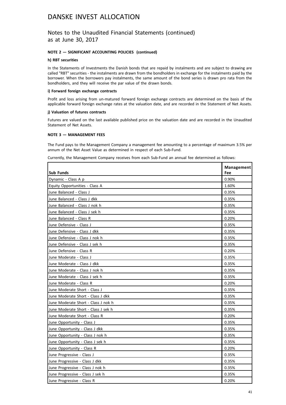### Notes to the Unaudited Financial Statements (continued) as at June 30, 2017

### **NOTE 2 — SIGNIFICANT ACCOUNTING POLICIES (continued)**

#### **h) RBT securities**

In the Statements of Investments the Danish bonds that are repaid by instalments and are subject to drawing are called "RBT" securities - the instalments are drawn from the bondholders in exchange for the instalments paid by the borrower. When the borrowers pay instalments, the same amount of the bond series is drawn pro rata from the bondholders, and they will receive the par value of the drawn bonds.

#### **i) Forward foreign exchange contracts**

Profit and loss arising from un-matured forward foreign exchange contracts are determined on the basis of the applicable forward foreign exchange rates at the valuation date, and are recorded in the Statement of Net Assets.

#### **j) Valuation of futures contracts**

Futures are valued on the last available published price on the valuation date and are recorded in the Unaudited Statement of Net Assets.

### **NOTE 3 — MANAGEMENT FEES**

The Fund pays to the Management Company a management fee amounting to a percentage of maximum 3.5% per annum of the Net Asset Value as determined in respect of each Sub-Fund.

Currently, the Management Company receives from each Sub-Fund an annual fee determined as follows:

|                                     | Management |
|-------------------------------------|------------|
| Sub Funds                           | Fee        |
| Dynamic - Class A p                 | 0.90%      |
| Equity Opportunities - Class A      | 1.60%      |
| June Balanced - Class J             | 0.35%      |
| June Balanced - Class J dkk         | 0.35%      |
| June Balanced - Class J nok h       | 0.35%      |
| June Balanced - Class J sek h       | 0.35%      |
| June Balanced - Class R             | 0.20%      |
| June Defensive - Class J            | 0.35%      |
| June Defensive - Class J dkk        | 0.35%      |
| June Defensive - Class J nok h      | 0.35%      |
| June Defensive - Class J sek h      | 0.35%      |
| June Defensive - Class R            | 0.20%      |
| June Moderate - Class J             | 0.35%      |
| June Moderate - Class J dkk         | 0.35%      |
| June Moderate - Class J nok h       | 0.35%      |
| lJune Moderate - Class J sek h      | 0.35%      |
| June Moderate - Class R             | 0.20%      |
| June Moderate Short - Class J       | 0.35%      |
| June Moderate Short - Class J dkk   | 0.35%      |
| June Moderate Short - Class J nok h | 0.35%      |
| June Moderate Short - Class J sek h | 0.35%      |
| June Moderate Short - Class R       | 0.20%      |
| June Opportunity - Class J          | 0.35%      |
| June Opportunity - Class J dkk      | 0.35%      |
| June Opportunity - Class J nok h    | 0.35%      |
| June Opportunity - Class J sek h    | 0.35%      |
| June Opportunity - Class R          | 0.20%      |
| June Progressive - Class J          | 0.35%      |
| June Progressive - Class J dkk      | 0.35%      |
| June Progressive - Class J nok h    | 0.35%      |
| June Progressive - Class J sek h    | 0.35%      |
| June Progressive - Class R          | 0.20%      |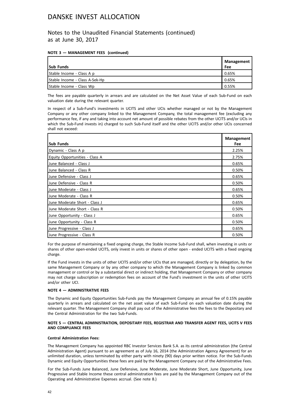Notes to the Unaudited Financial Statements (continued) as at June 30, 2017

### **NOTE 3 — MANAGEMENT FEES (continued)**

|                                | Management |
|--------------------------------|------------|
| <b>Sub Funds</b>               | Fee        |
| Stable Income - Class A p      | 0.65%      |
| Stable Income - Class A-Sek-Hp | 0.65%      |
| Stable Income - Class Wp       | 0.55%      |

The fees are payable quarterly in arrears and are calculated on the Net Asset Value of each Sub-Fund on each valuation date during the relevant quarter.

In respect of a Sub-Fund's investments in UCITS and other UCIs whether managed or not by the Management Company or any other company linked to the Management Company, the total management fee (excluding any performance fee, if any and taking into account net amount of possible rebates from the other UCITS and/or UCIs in which the Sub-Fund invests in) charged to such Sub-Fund itself and the other UCITS and/or other UCIs concerned shall not exceed:

| <b>Sub Funds</b>               | Management<br>Fee |
|--------------------------------|-------------------|
|                                |                   |
| Dynamic - Class A p            | 2.25%             |
| Equity Opportunities - Class A | 2.75%             |
| June Balanced - Class J        | 0.65%             |
| June Balanced - Class R        | 0.50%             |
| June Defensive - Class J       | 0.65%             |
| June Defensive - Class R       | 0.50%             |
| June Moderate - Class J        | 0.65%             |
| June Moderate - Class R        | 0.50%             |
| June Moderate Short - Class J  | 0.65%             |
| June Moderate Short - Class R  | 0.50%             |
| June Opportunity - Class J     | 0.65%             |
| June Opportunity - Class R     | 0.50%             |
| June Progressive - Class J     | 0.65%             |
| June Progressive - Class R     | 0.50%             |

For the purpose of maintaining a fixed ongoing charge, the Stable Income Sub-Fund shall, when investing in units or shares of other open-ended UCITS, only invest in units or shares of other open - ended UCITS with a fixed ongoing charge.

If the Fund invests in the units of other UCITS and/or other UCIs that are managed, directly or by delegation, by the same Management Company or by any other company to which the Management Company is linked by common management or control or by a substantial direct or indirect holding, that Management Company or other company may not charge subscription or redemption fees on account of the Fund's investment in the units of other UCITS and/or other UCI.

### **NOTE 4 — ADMINISTRATIVE FEES**

The Dynamic and Equity Opportunities Sub-Funds pay the Management Company an annual fee of 0.15% payable quarterly in arrears and calculated on the net asset value of each Sub-Fund on each valuation date during the relevant quarter. The Management Company shall pay out of the Administrative fees the fees to the Depositary and the Central Administration for the two Sub-Funds.

### **NOTE 5 — CENTRAL ADMINISTRATION, DEPOSITARY FEES, REGISTRAR AND TRANSFER AGENT FEES, UCITS V FEES AND COMPLIANCE FEES**

### **Central Administration Fees:**

The Management Company has appointed RBC Investor Services Bank S.A. as its central administration (the Central Administration Agent) pursuant to an agreement as of July 16, 2014 (the Administration Agency Agreement) for an unlimited duration, unless terminated by either party with ninety (90) days prior written notice. For the Sub-Funds Dynamic and Equity Opportunities these fees are paid by the Management Company out of the Administrative Fees.

For the Sub-Funds June Balanced, June Defensive, June Moderate, June Moderate Short, June Opportunity, June Progressive and Stable Income these central administration fees are paid by the Management Company out of the Operating and Administrative Expenses accrual. (See note 8.)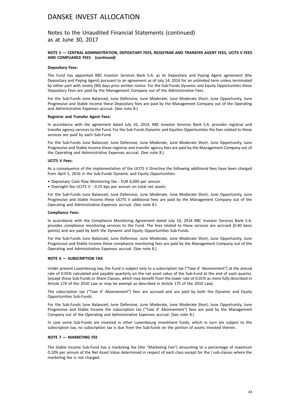Notes to the Unaudited Financial Statements (continued) as at June 30, 2017

#### **NOTE 5 — CENTRAL ADMINISTRATION, DEPOSITARY FEES, REGISTRAR AND TRANSFER AGENT FEES, UCITS V FEES AND COMPLIANCE FEES (continued)**

#### **Depositary Fees:**

The Fund has appointed RBC Investor Services Bank S.A. as its Depositary and Paying Agent agreement (the Depositary and Paying Agent) pursuant to an agreement as of July 14, 2016 for an unlimited term unless terminated by either part with ninety (90) days prior written notice. For the Sub-Funds Dynamic and Equity Opportunities these Depositary Fees are paid by the Management Company out of the Administrative Fees.

For the Sub-Funds June Balanced, June Defensive, June Moderate, June Moderate Short, June Opportunity, June Progressive and Stable Income these Depositary fees are paid by the Management Company out of the Operating and Administrative Expenses accrual. (See note 8.)

#### **Registrar and Transfer Agent Fees:**

In accordance with the agreement dated July 16, 2014, RBC investor Services Bank S.A. provides registrar and transfer agency services to the Fund. For the Sub-Funds Dynamic and Equities Opportunities the fees related to these services are paid by each Sub-Fund.

For the Sub-Funds June Balanced, June Defensive, June Moderate, June Moderate Short, June Opportunity, June Progressive and Stable Income these registrar and transfer agency fees are paid by the Management Company out of the Operating and Administrative Expenses accrual. (See note 8.)

#### **UCITS V Fees:**

As a consequence of the implementation of the UCITS V Directive the following additional fees have been charged from April 1, 2016 in the Sub-Funds Dynamic and Equity Opportunities:

- Depositary Cash flow Monitoring fee EUR 6,000 per annum
- Oversight fee UCITS V 0.25 bps per annum on total net assets

For the Sub-Funds June Balanced, June Defensive, June Moderate, June Moderate Short, June Opportunity, June Progressive and Stable Income these UCITS V additional fees are paid by the Management Company out of the Operating and Administrative Expenses accrual. (See note 8.)

#### **Compliance Fees:**

In accordance with the Compliance Monitoring Agreement dated July 16, 2014 RBC Investor Services Bank S.A. provides compliance monitoring services to the Fund. The fees related to these services are accrued (0.40 basis points) and are paid by both the Dynamic and Equity Opportunities Sub-Funds.

For the Sub-Funds June Balanced, June Defensive, June Moderate, June Moderate Short, June Opportunity, June Progressive and Stable Income these compliance monitoring fees are paid by the Management Company out of the Operating and Administrative Expenses accrual. (See note 8.)

#### **NOTE 6 — SUBSCRIPTION TAX**

Under present Luxembourg law, the Fund is subject only to a subscription tax ("Taxe d' Abonnement") at the annual rate of 0.05% calculated and payable quarterly on the net asset value of the Sub-Fund at the end of each quarter, (except those Sub-Funds or Share Classes, which may benefit from the lower rate of 0.01% as more fully described in Article 174 of the 2010 Law or may be exempt as described in Article 175 of the 2010 Law).

The subscription tax ("Taxe d' Abonnement") fees are accrued and are paid by both the Dynamic and Equity Opportunities Sub-Funds.

For the Sub-Funds June Balanced, June Defensive, June Moderate, June Moderate Short, June Opportunity, June Progressive and Stable Income the subscription tax ("Taxe d' Abonnement") fees are paid by the Management Company out of the Operating and Administrative Expenses accrual. (See note 8.)

In case some Sub-Funds are invested in other Luxembourg investment funds, which in turn are subject to the subscription tax, no subscription tax is due from the Sub-funds on the portion of assets invested therein.

#### **NOTE 7 — MARKETING FEE**

The Stable Income Sub-Fund has a marketing fee (the "Marketing Fee") amounting to a percentage of maximum 0.10% per annum of the Net Asset Value determined in respect of each class except for the I sub-classes where the marketing fee is not charged.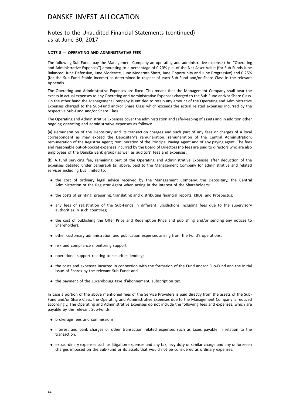Notes to the Unaudited Financial Statements (continued) as at June 30, 2017

#### **NOTE 8 — OPERATING AND ADMINISTRATIVE FEES**

The following Sub-Funds pay the Management Company an operating and administrative expense (the "Operating and Administrative Expenses") amounting to a percentage of 0.20% p.a. of the Net Asset Value (for Sub-Funds June Balanced, June Defensive, June Moderate, June Moderate Short, June Opportunity and June Progressive) and 0.25% (for the Sub-Fund Stable Income) as determined in respect of each Sub-Fund and/or Share Class in the relevant Appendix.

The Operating and Administrative Expenses are fixed. This means that the Management Company shall bear the excess in actual expenses to any Operating and Administrative Expenses charged to the Sub-Fund and/or Share Class. On the other hand the Management Company is entitled to retain any amount of the Operating and Administrative Expenses charged to the Sub-Fund and/or Share Class which exceeds the actual related expenses incurred by the respective Sub-Fund and/or Share Class.

The Operating and Administrative Expenses cover the administration and safe-keeping of assets and in addition other ongoing operating and administrative expenses as follows:

(a) Remuneration of the Depositary and its transaction charges and such part of any fees or charges of a local correspondent as may exceed the Depositary's remuneration; remuneration of the Central Administration; remuneration of the Registrar Agent; remuneration of the Principal Paying Agent and of any paying agent. The fees and reasonable out-of-pocket expenses incurred by the Board of Directors (no fees are paid to directors who are also employees of the Danske Bank group) as well as auditors' fees and expenses;

(b) A fund servicing fee, remaining part of the Operating and Administrative Expenses after deduction of the expenses detailed under paragraph (a) above, paid to the Management Company for administrative and related services including but limited to:

- . the cost of ordinary legal advice received by the Management Company, the Depositary, the Central Administration or the Registrar Agent when acting in the interest of the Shareholders;
- . the costs of printing, preparing, translating and distributing financial reports, KIIDs, and Prospectus;
- . any fees of registration of the Sub-Funds in different jurisdictions including fees due to the supervisory authorities in such countries;
- . the cost of publishing the Offer Price and Redemption Price and publishing and/or sending any notices to Shareholders;
- . other customary administration and publication expenses arising from the Fund's operations;
- risk and compliance monitoring support;
- . operational support relating to securities lending;
- . the costs and expenses incurred in connection with the formation of the Fund and/or Sub-Fund and the initial issue of Shares by the relevant Sub-Fund; and
- . the payment of the Luxembourg taxe d'abonnement, subscription tax.

In case a portion of the above mentioned fees of the Service Providers is paid directly from the assets of the Sub-Fund and/or Share Class, the Operating and Administrative Expenses due to the Management Company is reduced accordingly. The Operating and Administrative Expenses do not include the following fees and expenses, which are payable by the relevant Sub-Funds:

- brokerage fees and commissions;
- . interest and bank charges or other transaction related expenses such as taxes payable in relation to the transaction;
- . extraordinary expenses such as litigation expenses and any tax, levy duty or similar charge and any unforeseen charges imposed on the Sub-Fund or its assets that would not be considered as ordinary expenses.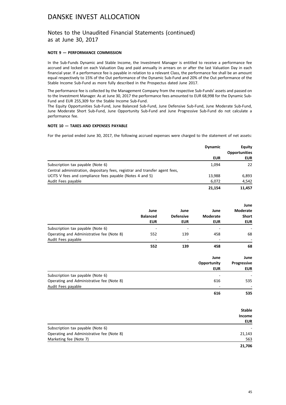### Notes to the Unaudited Financial Statements (continued) as at June 30, 2017

### **NOTE 9 — PERFORMANCE COMMISSION**

In the Sub-Funds Dynamic and Stable Income, the Investment Manager is entitled to receive a performance fee accrued and locked on each Valuation Day and paid annually in arrears on or after the last Valuation Day in each financial year. If a performance fee is payable in relation to a relevant Class, the performance fee shall be an amount equal respectively to 15% of the Out performance of the Dynamic Sub-Fund and 20% of the Out performance of the Stable Income Sub-Fund as more fully described in the Prospectus dated June 2017.

The performance fee is collected by the Management Company from the respective Sub-Funds' assets and passed on to the Investment Manager. As at June 30, 2017 the performance fees amounted to EUR 68,998 for the Dynamic Sub-Fund and EUR 255,309 for the Stable Income Sub-Fund.

The Equity Opportunities Sub-Fund, June Balanced Sub-Fund, June Defensive Sub-Fund, June Moderate Sub-Fund, June Moderate Short Sub-Fund, June Opportunity Sub-Fund and June Progressive Sub-Fund do not calculate a performance fee.

### **NOTE 10 — TAXES AND EXPENSES PAYABLE**

For the period ended June 30, 2017, the following accrued expenses were charged to the statement of net assets:

|                                                                             | <b>Dynamic</b><br>EUR | Equity<br><b>Opportunities</b> |  |
|-----------------------------------------------------------------------------|-----------------------|--------------------------------|--|
|                                                                             |                       | <b>EUR</b>                     |  |
| Subscription tax payable (Note 6)                                           | 1,094                 | 22                             |  |
| Central administration, depositary fees, registrar and transfer agent fees, |                       |                                |  |
| UCITS V fees and compliance fees payable (Notes 4 and 5)                    | 13,988                | 6,893                          |  |
| Audit Fees payable                                                          | 6,072                 | 4,542                          |  |
|                                                                             | 21.154                | 11.457                         |  |

|                                           |                 |                  |                 | June          |
|-------------------------------------------|-----------------|------------------|-----------------|---------------|
|                                           | June            | June             | June            | Moderate      |
|                                           | <b>Balanced</b> | <b>Defensive</b> | <b>Moderate</b> | <b>Short</b>  |
|                                           | <b>EUR</b>      | <b>EUR</b>       | <b>EUR</b>      | <b>EUR</b>    |
| Subscription tax payable (Note 6)         |                 |                  |                 |               |
| Operating and Administrative fee (Note 8) | 552             | 139              | 458             | 68            |
| Audit Fees payable                        | ۰               |                  |                 |               |
|                                           | 552             | 139              | 458             | 68            |
|                                           |                 |                  | June            | June          |
|                                           |                 |                  | Opportunity     | Progressive   |
|                                           |                 |                  | <b>EUR</b>      | <b>EUR</b>    |
| Subscription tax payable (Note 6)         |                 |                  |                 |               |
| Operating and Administrative fee (Note 8) |                 |                  | 616             | 535           |
| Audit Fees payable                        |                 |                  |                 |               |
|                                           |                 |                  | 616             | 535           |
|                                           |                 |                  |                 |               |
|                                           |                 |                  |                 | <b>Stable</b> |
|                                           |                 |                  |                 | <b>Income</b> |
|                                           |                 |                  |                 | <b>EUR</b>    |

| Subscription tax payable (Note 6)         |        |
|-------------------------------------------|--------|
| Operating and Administrative fee (Note 8) | 21.143 |
| Marketing fee (Note 7)                    | 563    |
|                                           | 21.706 |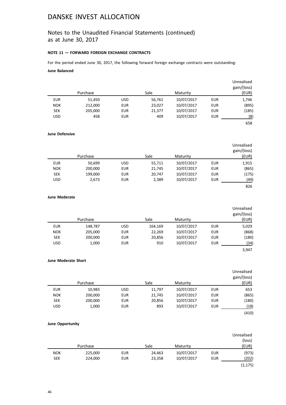### Notes to the Unaudited Financial Statements (continued) as at June 30, 2017

### **NOTE 11 — FORWARD FOREIGN EXCHANGE CONTRACTS**

For the period ended June 30, 2017, the following forward foreign exchange contracts were outstanding: **June Balanced**

| Unrealised<br>gain/(loss) |            |            |        |            |          |            |
|---------------------------|------------|------------|--------|------------|----------|------------|
| (EUR)                     |            | Maturity   | Sale   |            | Purchase |            |
| 1,746                     | EUR        | 10/07/2017 | 56,761 | <b>USD</b> | 51,450   | <b>EUR</b> |
| (895)                     | <b>EUR</b> | 10/07/2017 | 23,027 | <b>EUR</b> | 212,000  | <b>NOK</b> |
| (185)                     | EUR        | 10/07/2017 | 21,377 | <b>EUR</b> | 205,000  | <b>SEK</b> |
| (8)                       | EUR        | 10/07/2017 | 409    | <b>EUR</b> | 458      | <b>USD</b> |
| 658                       |            |            |        |            |          |            |

**June Defensive**

|            |          |            |        |            |            | Unrealised<br>gain/(loss) |
|------------|----------|------------|--------|------------|------------|---------------------------|
|            | Purchase |            | Sale   | Maturity   |            | (EUR)                     |
| <b>EUR</b> | 50,699   | <b>USD</b> | 55,711 | 10/07/2017 | <b>EUR</b> | 1,915                     |
| <b>NOK</b> | 200,000  | <b>EUR</b> | 21,745 | 10/07/2017 | EUR        | (865)                     |
| <b>SEK</b> | 199,000  | <b>EUR</b> | 20,747 | 10/07/2017 | EUR        | (175)                     |
| <b>USD</b> | 2,673    | <b>EUR</b> | 2,389  | 10/07/2017 | <b>EUR</b> | (49)                      |
|            |          |            |        |            |            | 826                       |

### **June Moderate**

|            | Purchase |            | Sale    | Maturity   |            | Unrealised<br>gain/(loss)<br>(EUR) |
|------------|----------|------------|---------|------------|------------|------------------------------------|
| <b>EUR</b> | 148,787  | <b>USD</b> | 164,169 | 10/07/2017 | <b>EUR</b> | 5,029                              |
| <b>NOK</b> | 205,000  | <b>EUR</b> | 22,269  | 10/07/2017 | <b>EUR</b> | (868)                              |
| <b>SEK</b> | 200,000  | <b>EUR</b> | 20,856  | 10/07/2017 | <b>EUR</b> | (180)                              |
| <b>USD</b> | 1,000    | <b>EUR</b> | 910     | 10/07/2017 | <b>EUR</b> | (34)                               |
|            |          |            |         |            |            | 3,947                              |

**June Moderate Short**

|          |            |            |      |        |            |            | Unrealised  |
|----------|------------|------------|------|--------|------------|------------|-------------|
|          |            |            |      |        |            |            | gain/(loss) |
| Purchase |            |            | Sale |        | Maturity   |            | (EUR)       |
| 10,983   | <b>EUR</b> | <b>USD</b> |      | 11,797 | 10/07/2017 | <b>EUR</b> | 653         |
| 200,000  | <b>NOK</b> | <b>EUR</b> |      | 21,745 | 10/07/2017 | <b>EUR</b> | (865)       |
| 200,000  | <b>SEK</b> | <b>EUR</b> |      | 20,856 | 10/07/2017 | <b>EUR</b> | (180)       |
| 1,000    | <b>USD</b> | <b>EUR</b> |      | 893    | 10/07/2017 | <b>EUR</b> | (18)        |
|          |            |            |      |        |            |            | (410)       |

### **June Opportunity**

|            |          |            |        |            |            | Unrealised |
|------------|----------|------------|--------|------------|------------|------------|
|            |          |            |        |            |            | (loss)     |
|            | Purchase |            | Sale   | Maturity   |            | (EUR)      |
| <b>NOK</b> | 225,000  | <b>EUR</b> | 24,463 | 10/07/2017 | <b>EUR</b> | (973)      |
| <b>SEK</b> | 224,000  | <b>EUR</b> | 23,358 | 10/07/2017 | EUR        | (202)      |
|            |          |            |        |            |            | (1, 175)   |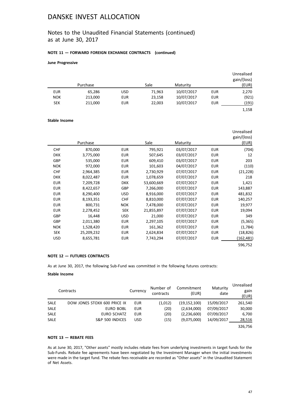### Notes to the Unaudited Financial Statements (continued) as at June 30, 2017

### **NOTE 11 — FORWARD FOREIGN EXCHANGE CONTRACTS (continued)**

#### **June Progressive**

|            | Purchase |            | Sale   | Maturity   |     | Unrealised<br>gain/(loss)<br>(EUR) |
|------------|----------|------------|--------|------------|-----|------------------------------------|
| <b>EUR</b> | 65,286   | <b>USD</b> | 71,963 | 10/07/2017 | EUR | 2,270                              |
| <b>NOK</b> | 213,000  | <b>EUR</b> | 23,158 | 10/07/2017 | EUR | (921)                              |
| <b>SEK</b> | 211,000  | <b>EUR</b> | 22,003 | 10/07/2017 | EUR | (191)                              |
|            |          |            |        |            |     | 1,158                              |

### **Stable Income**

|            | Purchase   |            | Sale       | Maturity   |            | Unrealised<br>gain/(loss)<br>(EUR) |
|------------|------------|------------|------------|------------|------------|------------------------------------|
|            |            |            |            |            |            |                                    |
| <b>CHF</b> | 870,000    | <b>EUR</b> | 795,921    | 03/07/2017 | <b>EUR</b> | (704)                              |
| <b>DKK</b> | 3,775,000  | <b>EUR</b> | 507,645    | 03/07/2017 | <b>EUR</b> | 12                                 |
| <b>GBP</b> | 535,000    | <b>EUR</b> | 609,410    | 03/07/2017 | <b>EUR</b> | 203                                |
| <b>NOK</b> | 972,000    | <b>EUR</b> | 101,603    | 04/07/2017 | <b>EUR</b> | (110)                              |
| <b>CHF</b> | 2,964,385  | <b>EUR</b> | 2,730,929  | 07/07/2017 | <b>EUR</b> | (21, 228)                          |
| <b>DKK</b> | 8,022,487  | <b>EUR</b> | 1,078,659  | 07/07/2017 | <b>EUR</b> | 218                                |
| <b>EUR</b> | 7,209,728  | <b>DKK</b> | 53,600,669 | 07/07/2017 | <b>EUR</b> | 1,421                              |
| <b>EUR</b> | 8,422,657  | <b>GBP</b> | 7,266,000  | 07/07/2017 | <b>EUR</b> | 143,887                            |
| <b>EUR</b> | 8,290,400  | <b>USD</b> | 8,916,000  | 07/07/2017 | <b>EUR</b> | 481,832                            |
| <b>EUR</b> | 8,193,351  | <b>CHF</b> | 8,810,000  | 07/07/2017 | <b>EUR</b> | 140,257                            |
| <b>EUR</b> | 800,731    | <b>NOK</b> | 7,478,000  | 07/07/2017 | <b>EUR</b> | 19,977                             |
| <b>EUR</b> | 2,278,452  | <b>SEK</b> | 21,855,897 | 07/07/2017 | <b>EUR</b> | 19,094                             |
| GBP        | 16,448     | <b>USD</b> | 21,000     | 07/07/2017 | <b>EUR</b> | 349                                |
| GBP        | 2,011,380  | <b>EUR</b> | 2,297,105  | 07/07/2017 | <b>EUR</b> | (5, 365)                           |
| <b>NOK</b> | 1,528,420  | <b>EUR</b> | 161,362    | 07/07/2017 | <b>EUR</b> | (1,784)                            |
| <b>SEK</b> | 25,209,232 | <b>EUR</b> | 2,624,834  | 07/07/2017 | <b>EUR</b> | (18, 826)                          |
| <b>USD</b> | 8,655,781  | <b>EUR</b> | 7,743,294  | 07/07/2017 | <b>EUR</b> | (162, 481)                         |
|            |            |            |            |            |            | 596,752                            |

### **NOTE 12 — FUTURES CONTRACTS**

As at June 30, 2017, the following Sub-Fund was committed in the following futures contracts:

#### **Stable Income**

|             | Contracts                    | Currency   | Number of<br>contracts | Commitment<br>(EUR) | Maturity<br>date | Unrealised<br>gain<br>(EUR) |
|-------------|------------------------------|------------|------------------------|---------------------|------------------|-----------------------------|
| <b>SALE</b> | DOW JONES STOXX 600 PRICE IX | EUR        | (1,012)                | (19, 152, 100)      | 15/09/2017       | 261,540                     |
| <b>SALE</b> | EURO BOBL                    | EUR        | (20)                   | (2,634,000)         | 07/09/2017       | 30,000                      |
| <b>SALE</b> | EURO SCHATZ                  | EUR        | (20)                   | (2,236,600)         | 07/09/2017       | 6,700                       |
| <b>SALE</b> | S&P 500 INDICES              | <b>USD</b> | (15)                   | (9,075,000)         | 14/09/2017       | 28,516                      |
|             |                              |            |                        |                     |                  | 326.756                     |

### **NOTE 13 — REBATE FEES**

As at June 30, 2017, "Other assets" mostly includes rebate fees from underlying investments in target funds for the Sub-Funds. Rebate fee agreements have been negotiated by the Investment Manager when the initial investments were made in the target fund. The rebate fees receivable are recorded as "Other assets" in the Unaudited Statement of Net Assets.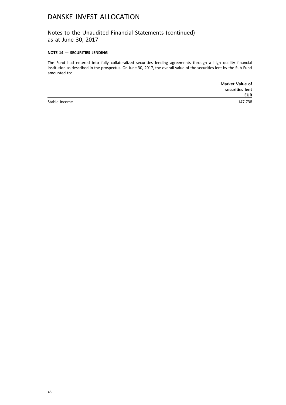Notes to the Unaudited Financial Statements (continued) as at June 30, 2017

### **NOTE 14 — SECURITIES LENDING**

The Fund had entered into fully collateralized securities lending agreements through a high quality financial institution as described in the prospectus. On June 30, 2017, the overall value of the securities lent by the Sub-Fund amounted to:

|               | <b>Market Value of</b> |
|---------------|------------------------|
|               | securities lent        |
|               | <b>EUR</b>             |
| Stable Income | 147,738                |

48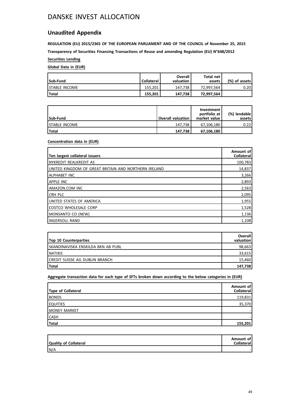### **Unaudited Appendix**

**REGULATION (EU) 2015/2365 OF THE EUROPEAN PARLIAMENT AND OF THE COUNCIL of November 25, 2015 Transparency of Securities Financing Transactions of Reuse and amending Regulation (EU) N°648/2012**

**Securities Lending**

### **Global Data in (EUR)**

| Sub-Fund              | <b>Collateral</b> | Overall<br>valuation | Total net<br>assets | (%) of assets |
|-----------------------|-------------------|----------------------|---------------------|---------------|
| <b>ISTABLE INCOME</b> | 155.201           | 147.738              | 72.997.564          | 0.20          |
| Total                 | 155.201           | 147.738              | 72.997.564          |               |

| Sub-Fund              | <b>Overall valuation</b> | Investment<br>portfolio at<br>market value | (%) lendable<br>assets l |
|-----------------------|--------------------------|--------------------------------------------|--------------------------|
| <b>ISTABLE INCOME</b> | 147.738                  | 67.106.180                                 | 0.22                     |
| <b>Total</b>          | 147.738                  | 67,106,180                                 |                          |

### **Concentration data in (EUR)**

| Ten largest collateral issuers                       | Amount of<br>Collateral |
|------------------------------------------------------|-------------------------|
| INYKREDIT REALKREDIT AS                              | 100,783                 |
| UNITED KINGDOM OF GREAT BRITAIN AND NORTHERN IRELAND | 14,837                  |
| I ALPHABET INC                                       | 3,266                   |
| <b>APPLE INC</b>                                     | 2,893                   |
| LAMAZON.COM INC                                      | 2,563                   |
| <b>CRH PLC</b>                                       | 2,095                   |
| Iunited states of America                            | 1,955                   |
| I COSTCO WHOLESALE CORP                              | 1,528                   |
| MONSANTO CO (NEW)                                    | 1,136                   |
| <b>IINGERSOLL RAND</b>                               | 1,108                   |

| <b>Top 10 Counterparties</b>        | <b>Overall</b><br>valuation |
|-------------------------------------|-----------------------------|
| Iskandinaviska enskilda bkn ab publ | 98,663                      |
| I NATIXIS                           | 33,615                      |
| ICREDIT SUISSE AG DUBLIN BRANCH     | 15,460                      |
| <b>Total</b>                        | 147,738                     |

**Aggregate transaction data for each type of SFTs broken down according to the below categories in (EUR)**

| Type of Collateral  | Amount of<br><b>Collateral</b> |
|---------------------|--------------------------------|
| <b>BONDS</b>        | 119,831                        |
| <b>EQUITIES</b>     | 35,370                         |
| <b>MONEY MARKET</b> |                                |
| <b>CASH</b>         |                                |
| Total               | 155,201                        |

| Quality of Collateral | Amount of<br><b>Collateral</b> |
|-----------------------|--------------------------------|
| N/A                   |                                |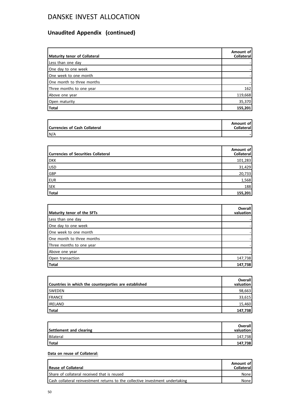# **Unaudited Appendix (continued)**

| Maturity tenor of Collateral | Amount of<br><b>Collateral</b> |
|------------------------------|--------------------------------|
| Less than one day            |                                |
| One day to one week          |                                |
| One week to one month        |                                |
| One month to three months    |                                |
| Three months to one year     | 162                            |
| Above one year               | 119,668                        |
| Open maturity                | 35,370                         |
| Total                        | 155,201                        |

| Currencies of Cash Collateral | Amount of<br><b>Collateral</b> |
|-------------------------------|--------------------------------|
| N/A                           |                                |

| <b>Currencies of Securities Collateral</b> | Amount of<br>Collateral |
|--------------------------------------------|-------------------------|
| <b>DKK</b>                                 | 101,283                 |
| USD                                        | 31,429                  |
| GBP                                        | 20,733                  |
| <b>EUR</b>                                 | 1,568                   |
| <b>SEK</b>                                 | 188                     |
| Total                                      | 155,201                 |

| Maturity tenor of the SFTs | <b>Overall</b><br>valuation |
|----------------------------|-----------------------------|
| Less than one day          |                             |
| One day to one week        |                             |
| One week to one month      |                             |
| One month to three months  |                             |
| Three months to one year   |                             |
| Above one year             |                             |
| Open transaction           | 147,738                     |
| Total                      | 147,738                     |

| Countries in which the counterparties are established | <b>Overall</b><br>valuation |
|-------------------------------------------------------|-----------------------------|
| <b>ISWEDEN</b>                                        | 98,663                      |
| <b>IFRANCE</b>                                        | 33,615                      |
| <b>IRELAND</b>                                        | 15,460                      |
| Total                                                 | 147,738                     |

| Settlement and clearing | Overall<br>valuation |
|-------------------------|----------------------|
| Bilateral               | 147,738              |
| Total                   | 147,738              |

### **Data on reuse of Collateral:**

| <b>Reuse of Collateral</b>                                                    | Amount of<br><b>Collateral</b> |
|-------------------------------------------------------------------------------|--------------------------------|
| Share of collateral received that is reused                                   | None                           |
| Cash collateral reinvestment returns to the collective investment undertaking | None                           |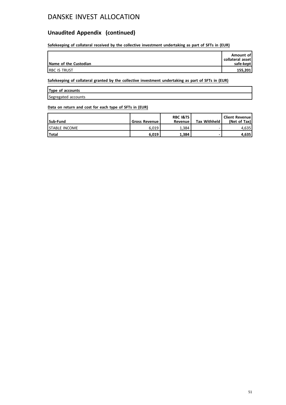### **Unaudited Appendix (continued)**

**Safekeeping of collateral received by the collective investment undertaking as part of SFTs in (EUR)**

| Name of the Custodian | Amount of<br>collateral asset<br>safe-kept |
|-----------------------|--------------------------------------------|
| <b>IRBC IS TRUST</b>  | 155,201                                    |

**Safekeeping of collateral granted by the collective investment undertaking as part of SFTs in (EUR)**

|  | Type of accounts |
|--|------------------|
|  |                  |

Segregated accounts

### **Data on return and cost for each type of SFTs in (EUR)**

| Sub-Fund              | <b>Gross Revenue l</b> | <b>RBC I&amp;TS</b><br>Revenue | <b>Tax Withheld</b> | <b>Client Revenue</b><br>(Net of Tax) |
|-----------------------|------------------------|--------------------------------|---------------------|---------------------------------------|
| <b>ISTABLE INCOME</b> | 6.019                  | 1.384                          |                     | 4.635 l                               |
| 'Total                | 6.019                  | 1,384                          |                     | 4.635                                 |